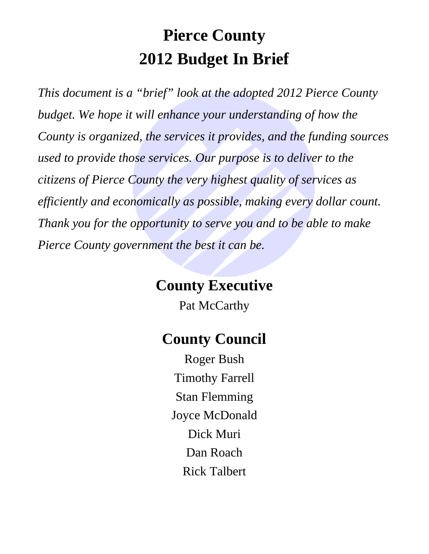# **Pierce County 2012 Budget In Brief**

*This document is a "brief" look at the adopted 2012 Pierce County budget. We hope it will enhance your understanding of how the County is organized, the services it provides, and the funding sources used to provide those services. Our purpose is to deliver to the citizens of Pierce County the very highest quality of services as efficiently and economically as possible, making every dollar count. Thank you for the opportunity to serve you and to be able to make Pierce County government the best it can be.* 

# **County Executive**

Pat McCarthy

# **County Council**

Roger Bush Timothy Farrell Stan Flemming Joyce McDonald Dick Muri Dan Roach Rick Talbert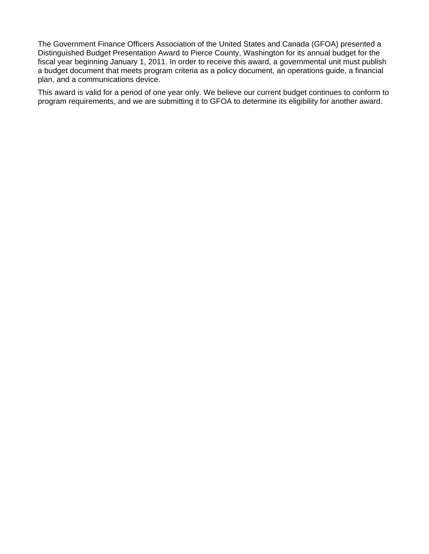The Government Finance Officers Association of the United States and Canada (GFOA) presented a Distinguished Budget Presentation Award to Pierce County, Washington for its annual budget for the fiscal year beginning January 1, 2011. In order to receive this award, a governmental unit must publish a budget document that meets program criteria as a policy document, an operations guide, a financial plan, and a communications device.

This award is valid for a period of one year only. We believe our current budget continues to conform to program requirements, and we are submitting it to GFOA to determine its eligibility for another award.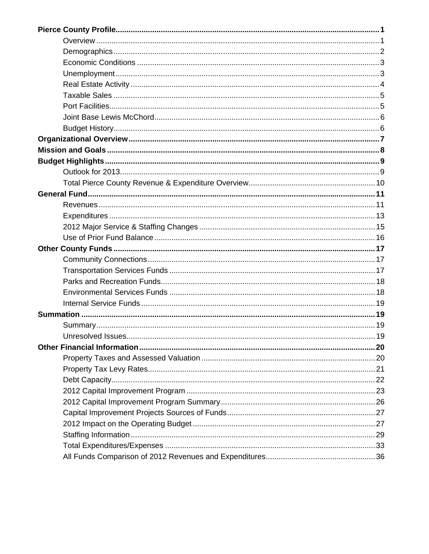| Unresolved Issues. | 19 |
|--------------------|----|
|                    |    |
|                    |    |
|                    |    |
|                    |    |
|                    |    |
|                    |    |
|                    |    |
|                    |    |
|                    |    |
|                    |    |
|                    |    |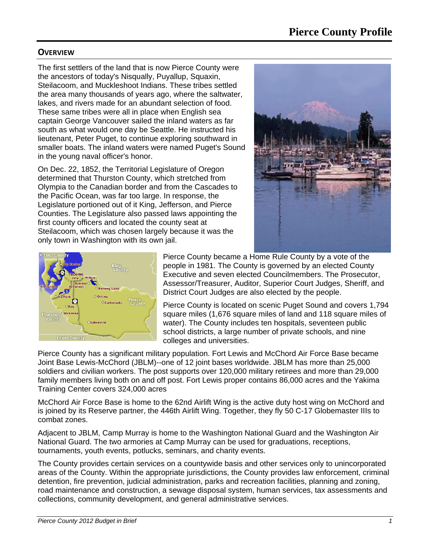#### **OVERVIEW**

The first settlers of the land that is now Pierce County were the ancestors of today's Nisqually, Puyallup, Squaxin, Steilacoom, and Muckleshoot Indians. These tribes settled the area many thousands of years ago, where the saltwater, lakes, and rivers made for an abundant selection of food. These same tribes were all in place when English sea captain George Vancouver sailed the inland waters as far south as what would one day be Seattle. He instructed his lieutenant, Peter Puget, to continue exploring southward in smaller boats. The inland waters were named Puget's Sound in the young naval officer's honor.

On Dec. 22, 1852, the Territorial Legislature of Oregon determined that Thurston County, which stretched from Olympia to the Canadian border and from the Cascades to the Pacific Ocean, was far too large. In response, the Legislature portioned out of it King, Jefferson, and Pierce Counties. The Legislature also passed laws appointing the first county officers and located the county seat at Steilacoom, which was chosen largely because it was the only town in Washington with its own jail.





Pierce County became a Home Rule County by a vote of the people in 1981. The County is governed by an elected County Executive and seven elected Councilmembers. The Prosecutor, Assessor/Treasurer, Auditor, Superior Court Judges, Sheriff, and District Court Judges are also elected by the people.

Pierce County is located on scenic Puget Sound and covers 1,794 square miles (1,676 square miles of land and 118 square miles of water). The County includes ten hospitals, seventeen public school districts, a large number of private schools, and nine colleges and universities.

Pierce County has a significant military population. Fort Lewis and McChord Air Force Base became Joint Base Lewis-McChord (JBLM)--one of 12 joint bases worldwide. JBLM has more than 25,000 soldiers and civilian workers. The post supports over 120,000 military retirees and more than 29,000 family members living both on and off post. Fort Lewis proper contains 86,000 acres and the Yakima Training Center covers 324,000 acres

McChord Air Force Base is home to the 62nd Airlift Wing is the active duty host wing on McChord and is joined by its Reserve partner, the 446th Airlift Wing. Together, they fly 50 C-17 Globemaster IIIs to combat zones.

Adjacent to JBLM, Camp Murray is home to the Washington National Guard and the Washington Air National Guard. The two armories at Camp Murray can be used for graduations, receptions, tournaments, youth events, potlucks, seminars, and charity events.

The County provides certain services on a countywide basis and other services only to unincorporated areas of the County. Within the appropriate jurisdictions, the County provides law enforcement, criminal detention, fire prevention, judicial administration, parks and recreation facilities, planning and zoning, road maintenance and construction, a sewage disposal system, human services, tax assessments and collections, community development, and general administrative services.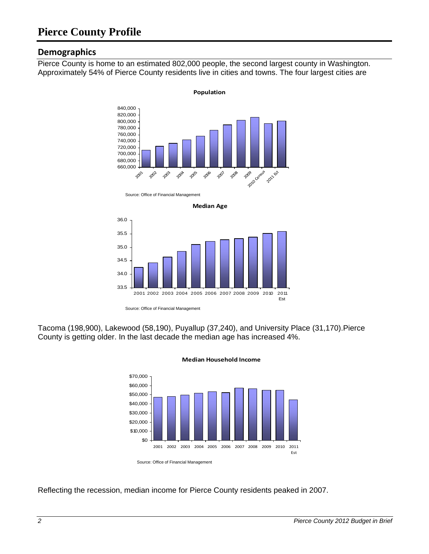#### **Demographics**

Pierce County is home to an estimated 802,000 people, the second largest county in Washington. Approximately 54% of Pierce County residents live in cities and towns. The four largest cities are



Source: Office of Financial Management





Tacoma (198,900), Lakewood (58,190), Puyallup (37,240), and University Place (31,170).Pierce County is getting older. In the last decade the median age has increased 4%.



#### **Median Household Income**

Reflecting the recession, median income for Pierce County residents peaked in 2007.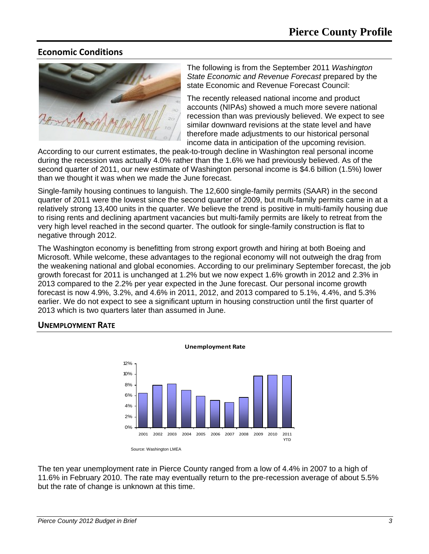### **Economic Conditions**



The following is from the September 2011 *Washington State Economic and Revenue Forecast* prepared by the state Economic and Revenue Forecast Council:

The recently released national income and product accounts (NIPAs) showed a much more severe national recession than was previously believed. We expect to see similar downward revisions at the state level and have therefore made adjustments to our historical personal income data in anticipation of the upcoming revision.

According to our current estimates, the peak-to-trough decline in Washington real personal income during the recession was actually 4.0% rather than the 1.6% we had previously believed. As of the second quarter of 2011, our new estimate of Washington personal income is \$4.6 billion (1.5%) lower than we thought it was when we made the June forecast.

Single-family housing continues to languish. The 12,600 single-family permits (SAAR) in the second quarter of 2011 were the lowest since the second quarter of 2009, but multi-family permits came in at a relatively strong 13,400 units in the quarter. We believe the trend is positive in multi-family housing due to rising rents and declining apartment vacancies but multi-family permits are likely to retreat from the very high level reached in the second quarter. The outlook for single-family construction is flat to negative through 2012.

The Washington economy is benefitting from strong export growth and hiring at both Boeing and Microsoft. While welcome, these advantages to the regional economy will not outweigh the drag from the weakening national and global economies. According to our preliminary September forecast, the job growth forecast for 2011 is unchanged at 1.2% but we now expect 1.6% growth in 2012 and 2.3% in 2013 compared to the 2.2% per year expected in the June forecast. Our personal income growth forecast is now 4.9%, 3.2%, and 4.6% in 2011, 2012, and 2013 compared to 5.1%, 4.4%, and 5.3% earlier. We do not expect to see a significant upturn in housing construction until the first quarter of 2013 which is two quarters later than assumed in June.

#### **UNEMPLOYMENT RATE**



The ten year unemployment rate in Pierce County ranged from a low of 4.4% in 2007 to a high of 11.6% in February 2010. The rate may eventually return to the pre-recession average of about 5.5% but the rate of change is unknown at this time.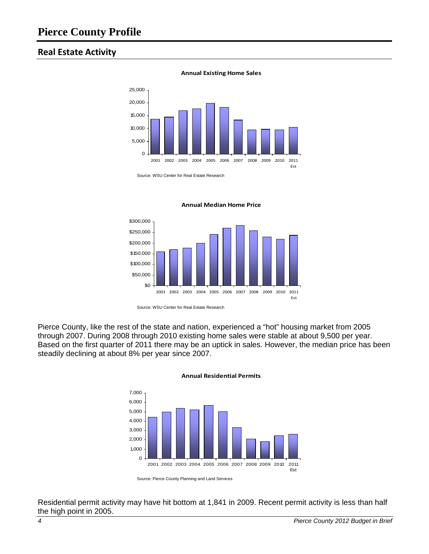#### **Real Estate Activity**



#### **Annual Existing Home Sales**

Source: WSU Center for Real Estate Research



**Annual Median Home Price**

Pierce County, like the rest of the state and nation, experienced a "hot" housing market from 2005 through 2007. During 2008 through 2010 existing home sales were stable at about 9,500 per year. Based on the first quarter of 2011 there may be an uptick in sales. However, the median price has been steadily declining at about 8% per year since 2007.



#### **Annual Residential Permits**

Residential permit activity may have hit bottom at 1,841 in 2009. Recent permit activity is less than half the high point in 2005.

Source: WSU Center for Real Estate Research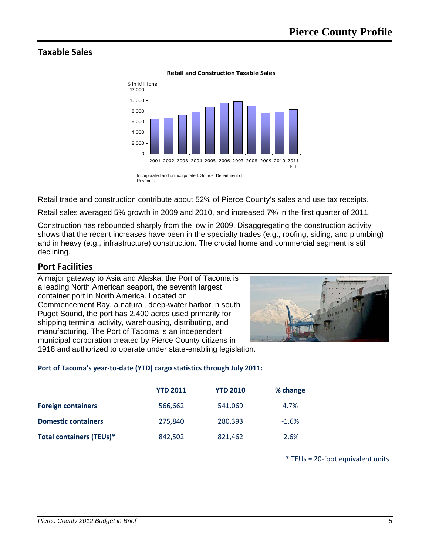### **Taxable Sales**



**Retail and Construction Taxable Sales**

Retail trade and construction contribute about 52% of Pierce County's sales and use tax receipts.

Retail sales averaged 5% growth in 2009 and 2010, and increased 7% in the first quarter of 2011.

Construction has rebounded sharply from the low in 2009. Disaggregating the construction activity shows that the recent increases have been in the specialty trades (e.g., roofing, siding, and plumbing) and in heavy (e.g., infrastructure) construction. The crucial home and commercial segment is still declining.

#### **Port Facilities**

A major gateway to Asia and Alaska, the Port of Tacoma is a leading North American seaport, the seventh largest container port in North America. Located on Commencement Bay, a natural, deep-water harbor in south Puget Sound, the port has 2,400 acres used primarily for shipping terminal activity, warehousing, distributing, and manufacturing. The Port of Tacoma is an independent municipal corporation created by Pierce County citizens in 1918 and authorized to operate under state-enabling legislation.



#### **Port of Tacoma's year‐to‐date (YTD) cargo statistics through July 2011:**

|                                 | <b>YTD 2011</b> | <b>YTD 2010</b> | % change |
|---------------------------------|-----------------|-----------------|----------|
| <b>Foreign containers</b>       | 566,662         | 541,069         | 4.7%     |
| <b>Domestic containers</b>      | 275,840         | 280,393         | $-1.6%$  |
| <b>Total containers (TEUs)*</b> | 842,502         | 821,462         | 2.6%     |

\* TEUs = 20‐foot equivalent units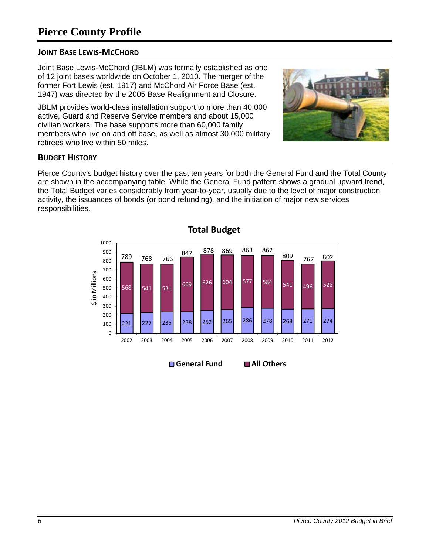### **Pierce County Profile**

#### **JOINT BASE LEWIS‐MCCHORD**

Joint Base Lewis-McChord (JBLM) was formally established as one of 12 joint bases worldwide on October 1, 2010. The merger of the former Fort Lewis (est. 1917) and McChord Air Force Base (est. 1947) was directed by the 2005 Base Realignment and Closure.

JBLM provides world-class installation support to more than 40,000 active, Guard and Reserve Service members and about 15,000 civilian workers. The base supports more than 60,000 family members who live on and off base, as well as almost 30,000 military retirees who live within 50 miles.

#### **BUDGET HISTORY**

Pierce County's budget history over the past ten years for both the General Fund and the Total County are shown in the accompanying table. While the General Fund pattern shows a gradual upward trend, the Total Budget varies considerably from year-to-year, usually due to the level of major construction activity, the issuances of bonds (or bond refunding), and the initiation of major new services responsibilities.

> 221 227 235 238 252 265 286 278 268 271 274 <sup>568</sup> <sup>541</sup> <sup>531</sup> <sup>609</sup> <sup>626</sup> <sup>604</sup> <sup>577</sup> <sup>584</sup> <sup>541</sup> <sup>496</sup> <sup>528</sup> 789 768 766 847 878 869 863 862 <sup>809</sup> <sup>767</sup> <sup>802</sup>  $\Omega$ 100 200 300 400 500 600 700 800 900 1000 2002 2003 2004 2005 2006 2007 2008 2009 2010 2011 2012 \$ in Millions in Millions **Total Budget**



**General Fund All Others**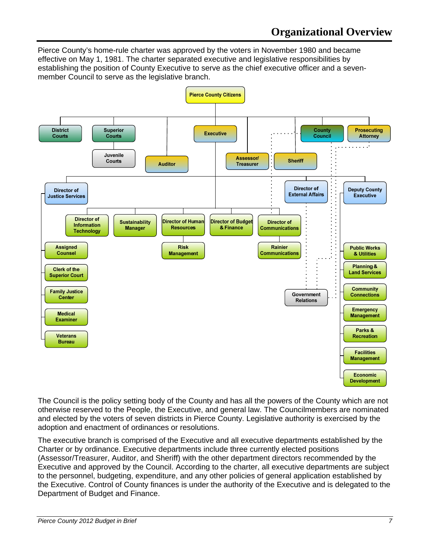Pierce County's home-rule charter was approved by the voters in November 1980 and became effective on May 1, 1981. The charter separated executive and legislative responsibilities by establishing the position of County Executive to serve as the chief executive officer and a sevenmember Council to serve as the legislative branch.



The Council is the policy setting body of the County and has all the powers of the County which are not otherwise reserved to the People, the Executive, and general law. The Councilmembers are nominated and elected by the voters of seven districts in Pierce County. Legislative authority is exercised by the adoption and enactment of ordinances or resolutions.

The executive branch is comprised of the Executive and all executive departments established by the Charter or by ordinance. Executive departments include three currently elected positions (Assessor/Treasurer, Auditor, and Sheriff) with the other department directors recommended by the Executive and approved by the Council. According to the charter, all executive departments are subject to the personnel, budgeting, expenditure, and any other policies of general application established by the Executive. Control of County finances is under the authority of the Executive and is delegated to the Department of Budget and Finance.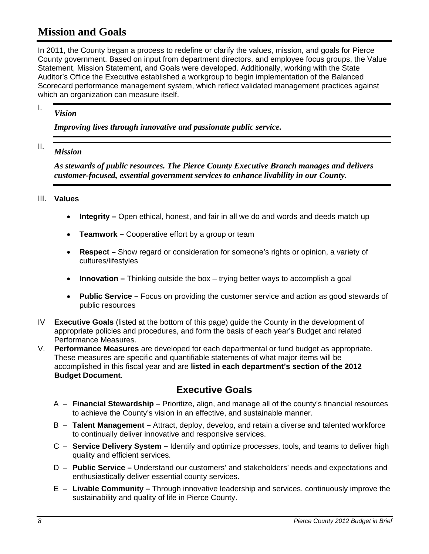### **Mission and Goals**

In 2011, the County began a process to redefine or clarify the values, mission, and goals for Pierce County government. Based on input from department directors, and employee focus groups, the Value Statement, Mission Statement, and Goals were developed. Additionally, working with the State Auditor's Office the Executive established a workgroup to begin implementation of the Balanced Scorecard performance management system, which reflect validated management practices against which an organization can measure itself.

#### I. *Vision*

*Improving lives through innovative and passionate public service.* 

#### II. *Mission*

*As stewards of public resources. The Pierce County Executive Branch manages and delivers customer-focused, essential government services to enhance livability in our County.* 

#### III. **Values**

- **Integrity –** Open ethical, honest, and fair in all we do and words and deeds match up
- **Teamwork** Cooperative effort by a group or team
- **Respect –** Show regard or consideration for someone's rights or opinion, a variety of cultures/lifestyles
- **Innovation** Thinking outside the box trying better ways to accomplish a goal
- **Public Service** Focus on providing the customer service and action as good stewards of public resources
- IV **Executive Goals** (listed at the bottom of this page) guide the County in the development of appropriate policies and procedures, and form the basis of each year's Budget and related Performance Measures.
- V. **Performance Measures** are developed for each departmental or fund budget as appropriate. These measures are specific and quantifiable statements of what major items will be accomplished in this fiscal year and are **listed in each department's section of the 2012 Budget Document**.

### **Executive Goals**

- A **Financial Stewardship** Prioritize, align, and manage all of the county's financial resources to achieve the County's vision in an effective, and sustainable manner.
- B **Talent Management** Attract, deploy, develop, and retain a diverse and talented workforce to continually deliver innovative and responsive services.
- C **Service Delivery System** Identify and optimize processes, tools, and teams to deliver high quality and efficient services.
- D **Public Service** Understand our customers' and stakeholders' needs and expectations and enthusiastically deliver essential county services.
- E **Livable Community** Through innovative leadership and services, continuously improve the sustainability and quality of life in Pierce County.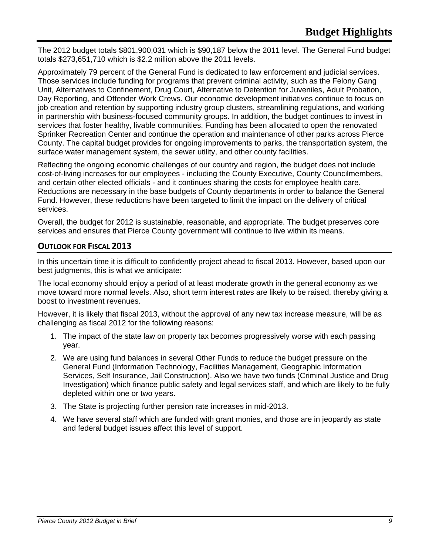The 2012 budget totals \$801,900,031 which is \$90,187 below the 2011 level. The General Fund budget totals \$273,651,710 which is \$2.2 million above the 2011 levels.

Approximately 79 percent of the General Fund is dedicated to law enforcement and judicial services. Those services include funding for programs that prevent criminal activity, such as the Felony Gang Unit, Alternatives to Confinement, Drug Court, Alternative to Detention for Juveniles, Adult Probation, Day Reporting, and Offender Work Crews. Our economic development initiatives continue to focus on job creation and retention by supporting industry group clusters, streamlining regulations, and working in partnership with business-focused community groups. In addition, the budget continues to invest in services that foster healthy, livable communities. Funding has been allocated to open the renovated Sprinker Recreation Center and continue the operation and maintenance of other parks across Pierce County. The capital budget provides for ongoing improvements to parks, the transportation system, the surface water management system, the sewer utility, and other county facilities.

Reflecting the ongoing economic challenges of our country and region, the budget does not include cost-of-living increases for our employees - including the County Executive, County Councilmembers, and certain other elected officials - and it continues sharing the costs for employee health care. Reductions are necessary in the base budgets of County departments in order to balance the General Fund. However, these reductions have been targeted to limit the impact on the delivery of critical services.

Overall, the budget for 2012 is sustainable, reasonable, and appropriate. The budget preserves core services and ensures that Pierce County government will continue to live within its means.

#### **OUTLOOK FOR FISCAL 2013**

In this uncertain time it is difficult to confidently project ahead to fiscal 2013. However, based upon our best judgments, this is what we anticipate:

The local economy should enjoy a period of at least moderate growth in the general economy as we move toward more normal levels. Also, short term interest rates are likely to be raised, thereby giving a boost to investment revenues.

However, it is likely that fiscal 2013, without the approval of any new tax increase measure, will be as challenging as fiscal 2012 for the following reasons:

- 1. The impact of the state law on property tax becomes progressively worse with each passing year.
- 2. We are using fund balances in several Other Funds to reduce the budget pressure on the General Fund (Information Technology, Facilities Management, Geographic Information Services, Self Insurance, Jail Construction). Also we have two funds (Criminal Justice and Drug Investigation) which finance public safety and legal services staff, and which are likely to be fully depleted within one or two years.
- 3. The State is projecting further pension rate increases in mid-2013.
- 4. We have several staff which are funded with grant monies, and those are in jeopardy as state and federal budget issues affect this level of support.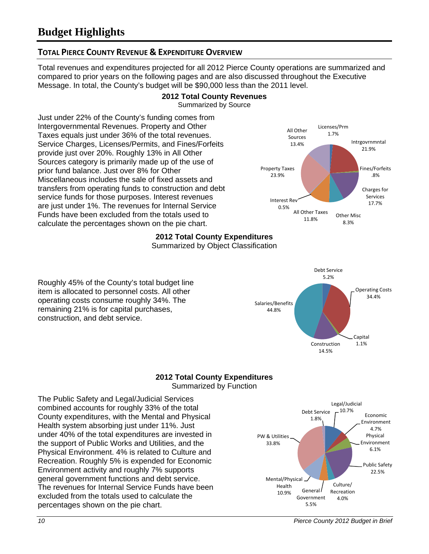#### **TOTAL PIERCE COUNTY REVENUE & EXPENDITURE OVERVIEW**

Total revenues and expenditures projected for all 2012 Pierce County operations are summarized and compared to prior years on the following pages and are also discussed throughout the Executive Message. In total, the County's budget will be \$90,000 less than the 2011 level.

#### **2012 Total County Revenues** Summarized by Source

Just under 22% of the County's funding comes from Intergovernmental Revenues. Property and Other Taxes equals just under 36% of the total revenues. Service Charges, Licenses/Permits, and Fines/Forfeits provide just over 20%. Roughly 13% in All Other Sources category is primarily made up of the use of prior fund balance. Just over 8% for Other Miscellaneous includes the sale of fixed assets and transfers from operating funds to construction and debt service funds for those purposes. Interest revenues are just under 1%. The revenues for Internal Service Funds have been excluded from the totals used to calculate the percentages shown on the pie chart.



Debt Service 5.2%

Salaries/Benefits 44.8%

Operating Costs 34.4%

Capital

Construction 1.1%

14.5%

### **2012 Total County Expenditures**

Summarized by Object Classification

Roughly 45% of the County's total budget line item is allocated to personnel costs. All other operating costs consume roughly 34%. The remaining 21% is for capital purchases, construction, and debt service.

#### **2012 Total County Expenditures** Summarized by Function

The Public Safety and Legal/Judicial Services combined accounts for roughly 33% of the total County expenditures, with the Mental and Physical Health system absorbing just under 11%. Just under 40% of the total expenditures are invested in the support of Public Works and Utilities, and the Physical Environment. 4% is related to Culture and Recreation. Roughly 5% is expended for Economic Environment activity and roughly 7% supports general government functions and debt service. The revenues for Internal Service Funds have been excluded from the totals used to calculate the percentages shown on the pie chart.

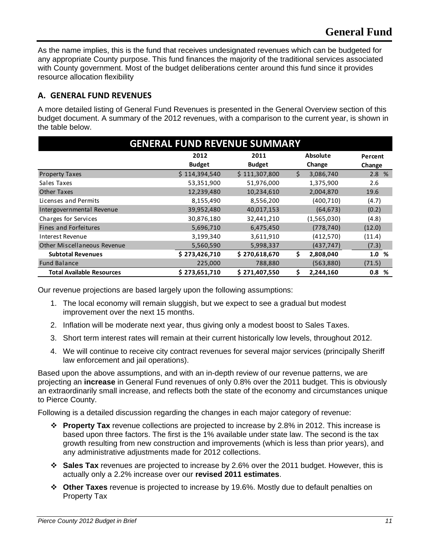As the name implies, this is the fund that receives undesignated revenues which can be budgeted for any appropriate County purpose. This fund finances the majority of the traditional services associated with County government. Most of the budget deliberations center around this fund since it provides resource allocation flexibility

#### **A. GENERAL FUND REVENUES**

A more detailed listing of General Fund Revenues is presented in the General Overview section of this budget document. A summary of the 2012 revenues, with a comparison to the current year, is shown in the table below.

| <b>GENERAL FUND REVENUE SUMMARY</b> |                                 |               |    |             |          |  |  |  |
|-------------------------------------|---------------------------------|---------------|----|-------------|----------|--|--|--|
|                                     | <b>Absolute</b><br>2012<br>2011 |               |    |             |          |  |  |  |
|                                     | <b>Budget</b>                   | <b>Budget</b> |    | Change      | Change   |  |  |  |
| <b>Property Taxes</b>               | \$114,394,540                   | \$111,307,800 | Ś. | 3,086,740   | 2.8%     |  |  |  |
| Sales Taxes                         | 53,351,900                      | 51,976,000    |    | 1,375,900   | 2.6      |  |  |  |
| <b>Other Taxes</b>                  | 12,239,480                      | 10,234,610    |    | 2,004,870   | 19.6     |  |  |  |
| Licenses and Permits                | 8,155,490                       | 8,556,200     |    | (400, 710)  | (4.7)    |  |  |  |
| Intergovernmental Revenue           | 39,952,480                      | 40,017,153    |    | (64, 673)   | (0.2)    |  |  |  |
| Charges for Services                | 30,876,180                      | 32,441,210    |    | (1,565,030) | (4.8)    |  |  |  |
| Fines and Forfeitures               | 5,696,710                       | 6,475,450     |    | (778, 740)  | (12.0)   |  |  |  |
| Interest Revenue                    | 3,199,340                       | 3,611,910     |    | (412, 570)  | (11.4)   |  |  |  |
| <b>Other Miscellaneous Revenue</b>  | 5,560,590                       | 5,998,337     |    | (437, 747)  | (7.3)    |  |  |  |
| <b>Subtotal Revenues</b>            | \$273,426,710                   | \$270,618,670 | Ŝ. | 2,808,040   | 1.0 %    |  |  |  |
| <b>Fund Balance</b>                 | 225,000                         | 788,880       |    | (563,880)   | (71.5)   |  |  |  |
| <b>Total Available Resources</b>    | \$273,651,710                   | \$271,407,550 | \$ | 2,244,160   | 0.8<br>% |  |  |  |

Our revenue projections are based largely upon the following assumptions:

- 1. The local economy will remain sluggish, but we expect to see a gradual but modest improvement over the next 15 months.
- 2. Inflation will be moderate next year, thus giving only a modest boost to Sales Taxes.
- 3. Short term interest rates will remain at their current historically low levels, throughout 2012.
- 4. We will continue to receive city contract revenues for several major services (principally Sheriff law enforcement and jail operations).

Based upon the above assumptions, and with an in-depth review of our revenue patterns, we are projecting an **increase** in General Fund revenues of only 0.8% over the 2011 budget. This is obviously an extraordinarily small increase, and reflects both the state of the economy and circumstances unique to Pierce County.

Following is a detailed discussion regarding the changes in each major category of revenue:

- **Property Tax** revenue collections are projected to increase by 2.8% in 2012. This increase is based upon three factors. The first is the 1% available under state law. The second is the tax growth resulting from new construction and improvements (which is less than prior years), and any administrative adjustments made for 2012 collections.
- **Sales Tax** revenues are projected to increase by 2.6% over the 2011 budget. However, this is actually only a 2.2% increase over our **revised 2011 estimates**.
- **Other Taxes** revenue is projected to increase by 19.6%. Mostly due to default penalties on Property Tax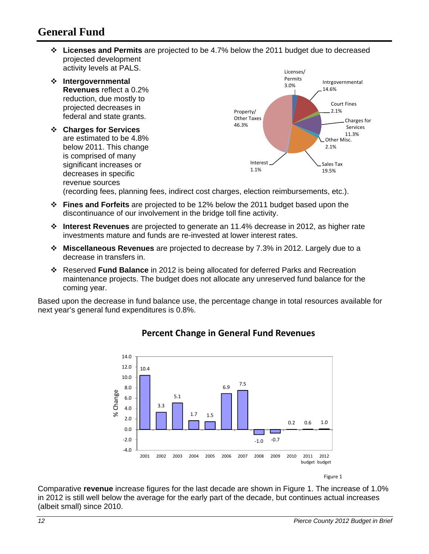### **General Fund**

 **Licenses and Permits** are projected to be 4.7% below the 2011 budget due to decreased projected development activity levels at PALS.



(recording fees, planning fees, indirect cost charges, election reimbursements, etc.).

- **Fines and Forfeits** are projected to be 12% below the 2011 budget based upon the discontinuance of our involvement in the bridge toll fine activity.
- **Interest Revenues** are projected to generate an 11.4% decrease in 2012, as higher rate investments mature and funds are re-invested at lower interest rates.
- **Miscellaneous Revenues** are projected to decrease by 7.3% in 2012. Largely due to a decrease in transfers in.
- Reserved **Fund Balance** in 2012 is being allocated for deferred Parks and Recreation maintenance projects. The budget does not allocate any unreserved fund balance for the coming year.

Based upon the decrease in fund balance use, the percentage change in total resources available for next year's general fund expenditures is 0.8%.



### **Percent Change in General Fund Revenues**

Figure 1

Comparative **revenue** increase figures for the last decade are shown in Figure 1. The increase of 1.0% in 2012 is still well below the average for the early part of the decade, but continues actual increases (albeit small) since 2010.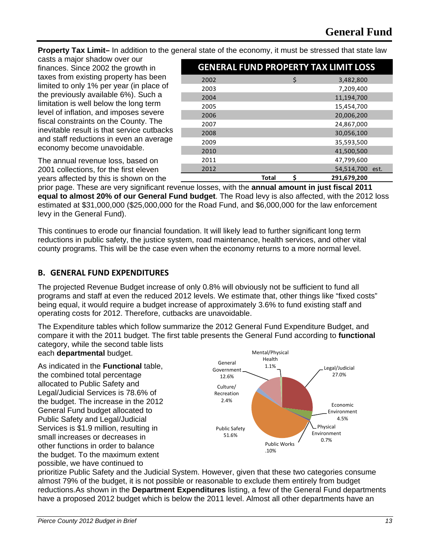**Property Tax Limit–** In addition to the general state of the economy, it must be stressed that state law

casts a major shadow over our finances. Since 2002 the growth in taxes from existing property has been limited to only 1% per year (in place of the previously available 6%). Such a limitation is well below the long term level of inflation, and imposes severe fiscal constraints on the County. The inevitable result is that service cutbacks and staff reductions in even an average economy become unavoidable.

|      |              |   | <b>GENERAL FUND PROPERTY TAX LIMIT LOSS</b> |  |
|------|--------------|---|---------------------------------------------|--|
| 2002 |              | Ś | 3,482,800                                   |  |
| 2003 |              |   | 7,209,400                                   |  |
| 2004 |              |   | 11,194,700                                  |  |
| 2005 |              |   | 15,454,700                                  |  |
| 2006 |              |   | 20,006,200                                  |  |
| 2007 |              |   | 24,867,000                                  |  |
| 2008 |              |   | 30,056,100                                  |  |
| 2009 |              |   | 35,593,500                                  |  |
| 2010 |              |   | 41,500,500                                  |  |
| 2011 |              |   | 47,799,600                                  |  |
| 2012 |              |   | 54,514,700 est.                             |  |
|      | <b>Total</b> | Ś | 291,679,200                                 |  |

The annual revenue loss, based on 2001 collections, for the first eleven years affected by this is shown on the

prior page. These are very significant revenue losses, with the **annual amount in just fiscal 2011 equal to almost 20% of our General Fund budget**. The Road levy is also affected, with the 2012 loss estimated at \$31,000,000 (\$25,000,000 for the Road Fund, and \$6,000,000 for the law enforcement levy in the General Fund).

This continues to erode our financial foundation. It will likely lead to further significant long term reductions in public safety, the justice system, road maintenance, health services, and other vital county programs. This will be the case even when the economy returns to a more normal level.

#### **B. GENERAL FUND EXPENDITURES**

The projected Revenue Budget increase of only 0.8% will obviously not be sufficient to fund all programs and staff at even the reduced 2012 levels. We estimate that, other things like "fixed costs" being equal, it would require a budget increase of approximately 3.6% to fund existing staff and operating costs for 2012. Therefore, cutbacks are unavoidable.

The Expenditure tables which follow summarize the 2012 General Fund Expenditure Budget, and compare it with the 2011 budget. The first table presents the General Fund according to **functional** category, while the second table lists each **departmental** budget.

As indicated in the **Functional** table, the combined total percentage allocated to Public Safety and Legal/Judicial Services is 78.6% of the budget. The increase in the 2012 General Fund budget allocated to Public Safety and Legal/Judicial Services is \$1.9 million, resulting in small increases or decreases in other functions in order to balance the budget. To the maximum extent possible, we have continued to



prioritize Public Safety and the Judicial System. However, given that these two categories consume almost 79% of the budget, it is not possible or reasonable to exclude them entirely from budget reductions.As shown in the **Department Expenditures** listing, a few of the General Fund departments have a proposed 2012 budget which is below the 2011 level. Almost all other departments have an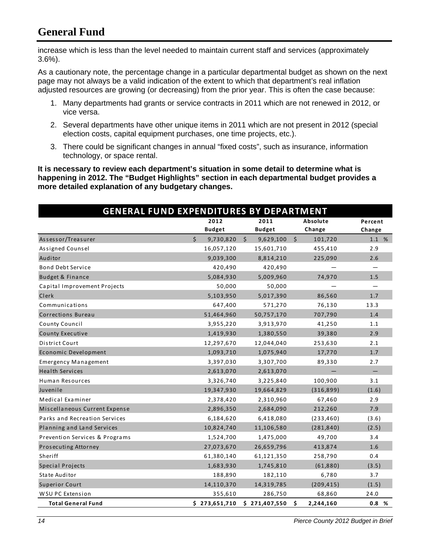## **General Fund**

increase which is less than the level needed to maintain current staff and services (approximately 3.6%).

As a cautionary note, the percentage change in a particular departmental budget as shown on the next page may not always be a valid indication of the extent to which that department's real inflation adjusted resources are growing (or decreasing) from the prior year. This is often the case because:

- 1. Many departments had grants or service contracts in 2011 which are not renewed in 2012, or vice versa.
- 2. Several departments have other unique items in 2011 which are not present in 2012 (special election costs, capital equipment purchases, one time projects, etc.).
- 3. There could be significant changes in annual "fixed costs", such as insurance, information technology, or space rental.

**It is necessary to review each department's situation in some detail to determine what is happening in 2012. The "Budget Highlights" section in each departmental budget provides a more detailed explanation of any budgetary changes.** 

| <b>GENERAL FUND EXPENDITURES BY DEPARTMENT</b> |                      |                      |                          |         |  |
|------------------------------------------------|----------------------|----------------------|--------------------------|---------|--|
|                                                | 2012                 | 2011                 | Absolute                 | Percent |  |
|                                                | <b>Budget</b>        | <b>Budget</b>        | Change                   | Change  |  |
| Assessor/Treasurer                             | $\zeta$<br>9,730,820 | $\zeta$<br>9,629,100 | $\frac{1}{2}$<br>101,720 | 1.1 %   |  |
| Assigned Counsel                               | 16,057,120           | 15,601,710           | 455,410                  | 2.9     |  |
| Auditor                                        | 9,039,300            | 8,814,210            | 225,090                  | 2.6     |  |
| <b>Bond Debt Service</b>                       | 420,490              | 420,490              |                          |         |  |
| <b>Budget &amp; Finance</b>                    | 5,084,930            | 5,009,960            | 74,970                   | 1.5     |  |
| Capital Improvement Projects                   | 50,000               | 50,000               |                          |         |  |
| Clerk                                          | 5,103,950            | 5,017,390            | 86,560                   | 1.7     |  |
| Communications                                 | 647,400              | 571,270              | 76,130                   | 13.3    |  |
| <b>Corrections Bureau</b>                      | 51,464,960           | 50,757,170           | 707,790                  | 1.4     |  |
| County Council                                 | 3,955,220            | 3,913,970            | 41,250                   | 1.1     |  |
| <b>County Executive</b>                        | 1,419,930            | 1,380,550            | 39,380                   | 2.9     |  |
| District Court                                 | 12,297,670           | 12,044,040           | 253,630                  | 2.1     |  |
| Economic Development                           | 1,093,710            | 1,075,940            | 17,770                   | 1.7     |  |
| <b>Emergency Management</b>                    | 3,397,030            | 3,307,700            | 89,330                   | 2.7     |  |
| <b>Health Services</b>                         | 2,613,070            | 2,613,070            |                          |         |  |
| Human Resources                                | 3,326,740            | 3,225,840            | 100,900                  | 3.1     |  |
| Juvenile                                       | 19,347,930           | 19,664,829           | (316,899)                | (1.6)   |  |
| Medical Examiner                               | 2,378,420            | 2,310,960            | 67,460                   | 2.9     |  |
| Miscellaneous Current Expense                  | 2,896,350            | 2,684,090            | 212,260                  | 7.9     |  |
| Parks and Recreation Services                  | 6,184,620            | 6,418,080            | (233, 460)               | (3.6)   |  |
| Planning and Land Services                     | 10,824,740           | 11,106,580           | (281, 840)               | (2.5)   |  |
| Prevention Services & Programs                 | 1,524,700            | 1,475,000            | 49,700                   | 3.4     |  |
| Prosecuting Attorney                           | 27,073,670           | 26,659,796           | 413,874                  | 1.6     |  |
| Sheriff                                        | 61,380,140           | 61,121,350           | 258,790                  | 0.4     |  |
| <b>Special Projects</b>                        | 1,683,930            | 1,745,810            | (61,880)                 | (3.5)   |  |
| <b>State Auditor</b>                           | 188,890              | 182,110              | 6,780                    | 3.7     |  |
| <b>Superior Court</b>                          | 14,110,370           | 14,319,785           | (209, 415)               | (1.5)   |  |
| WSU PC Extension                               | 355,610              | 286,750              | 68,860                   | 24.0    |  |
| <b>Total General Fund</b>                      | \$273,651,710        | \$271,407,550        | \$<br>2,244,160          | 0.8%    |  |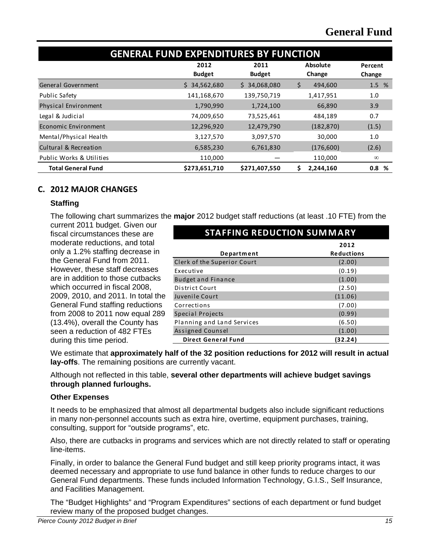| <b>GENERAL FUND EXPENDITURES BY FUNCTION</b> |                       |                       |                    |                   |  |  |  |
|----------------------------------------------|-----------------------|-----------------------|--------------------|-------------------|--|--|--|
|                                              | 2012<br><b>Budget</b> | 2011<br><b>Budget</b> | Absolute<br>Change | Percent<br>Change |  |  |  |
| <b>General Government</b>                    | \$34,562,680          | 34,068,080<br>S.      | \$<br>494,600      | 1.5 %             |  |  |  |
| <b>Public Safety</b>                         | 141,168,670           | 139,750,719           | 1,417,951          | 1.0               |  |  |  |
| <b>Physical Environment</b>                  | 1,790,990             | 1,724,100             | 66,890             | 3.9               |  |  |  |
| Legal & Judicial                             | 74,009,650            | 73,525,461            | 484,189            | 0.7               |  |  |  |
| Economic Environment                         | 12,296,920            | 12,479,790            | (182, 870)         | (1.5)             |  |  |  |
| Mental/Physical Health                       | 3,127,570             | 3,097,570             | 30,000             | 1.0               |  |  |  |
| Cultural & Recreation                        | 6,585,230             | 6,761,830             | (176,600)          | (2.6)             |  |  |  |
| Public Works & Utilities                     | 110,000               |                       | 110,000            | $\infty$          |  |  |  |
| <b>Total General Fund</b>                    | \$273,651,710         | \$271,407,550         | 2,244,160<br>S     | 0.8%              |  |  |  |

#### **C. 2012 MAJOR CHANGES**

#### **Staffing**

The following chart summarizes the **major** 2012 budget staff reductions (at least .10 FTE) from the

current 2011 budget. Given our fiscal circumstances these are moderate reductions, and total only a 1.2% staffing decrease in the General Fund from 2011. However, these staff decreases are in addition to those cutbacks which occurred in fiscal 2008, 2009, 2010, and 2011. In total the General Fund staffing reductions from 2008 to 2011 now equal 289 (13.4%), overall the County has seen a reduction of 482 FTEs during this time period.

| <b>STAFFING REDUCTION SUMMARY</b> |                   |  |  |  |  |
|-----------------------------------|-------------------|--|--|--|--|
|                                   | 2012              |  |  |  |  |
| Department                        | <b>Reductions</b> |  |  |  |  |
| Clerk of the Superior Court       | (2.00)            |  |  |  |  |
| Executive                         | (0.19)            |  |  |  |  |
| <b>Budget and Finance</b>         | (1.00)            |  |  |  |  |
| <b>District Court</b>             | (2.50)            |  |  |  |  |
| Juvenile Court                    | (11.06)           |  |  |  |  |
| Corrections                       | (7.00)            |  |  |  |  |
| Special Projects                  | (0.99)            |  |  |  |  |
| Planning and Land Services        | (6.50)            |  |  |  |  |
| Assigned Counsel                  | (1.00)            |  |  |  |  |
| <b>Direct General Fund</b>        | (32.24)           |  |  |  |  |

We estimate that **approximately half of the 32 position reductions for 2012 will result in actual lay-offs**. The remaining positions are currently vacant.

Although not reflected in this table, **several other departments will achieve budget savings through planned furloughs.**

#### **Other Expenses**

It needs to be emphasized that almost all departmental budgets also include significant reductions in many non-personnel accounts such as extra hire, overtime, equipment purchases, training, consulting, support for "outside programs", etc.

Also, there are cutbacks in programs and services which are not directly related to staff or operating line-items.

Finally, in order to balance the General Fund budget and still keep priority programs intact, it was deemed necessary and appropriate to use fund balance in other funds to reduce charges to our General Fund departments. These funds included Information Technology, G.I.S., Self Insurance, and Facilities Management.

The "Budget Highlights" and "Program Expenditures" sections of each department or fund budget review many of the proposed budget changes.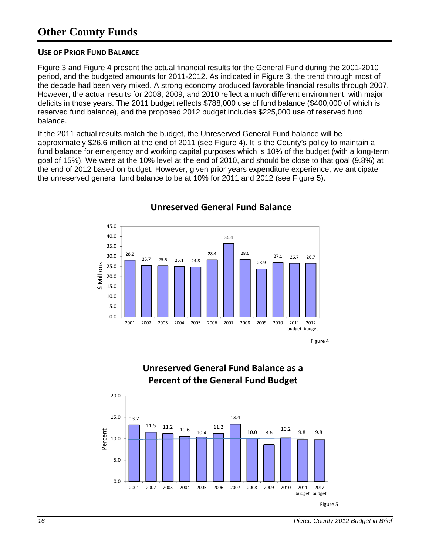### **Other County Funds**

#### **USE OF PRIOR FUND BALANCE**

Figure 3 and Figure 4 present the actual financial results for the General Fund during the 2001-2010 period, and the budgeted amounts for 2011-2012. As indicated in Figure 3, the trend through most of the decade had been very mixed. A strong economy produced favorable financial results through 2007. However, the actual results for 2008, 2009, and 2010 reflect a much different environment, with major deficits in those years. The 2011 budget reflects \$788,000 use of fund balance (\$400,000 of which is reserved fund balance), and the proposed 2012 budget includes \$225,000 use of reserved fund balance.

If the 2011 actual results match the budget, the Unreserved General Fund balance will be approximately \$26.6 million at the end of 2011 (see Figure 4). It is the County's policy to maintain a fund balance for emergency and working capital purposes which is 10% of the budget (with a long-term goal of 15%). We were at the 10% level at the end of 2010, and should be close to that goal (9.8%) at the end of 2012 based on budget. However, given prior years expenditure experience, we anticipate the unreserved general fund balance to be at 10% for 2011 and 2012 (see Figure 5).



#### **Unreserved General Fund Balance**

Figure 4



2001 2002 2003 2004 2005 2006 2007 2008 2009 2010 2011

### **Unreserved General Fund Balance as a Percent of the General Fund Budget**

Figure 5

budget budget 2012

Percent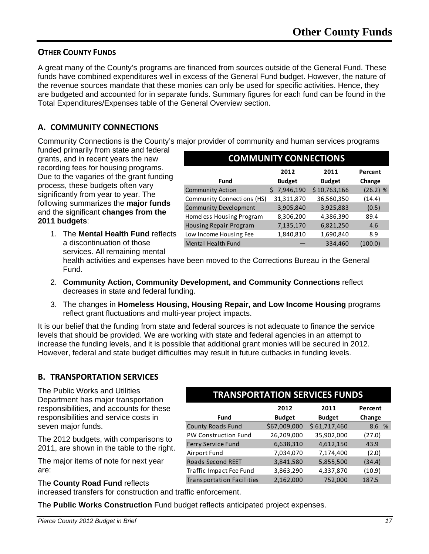#### **OTHER COUNTY FUNDS**

A great many of the County's programs are financed from sources outside of the General Fund. These funds have combined expenditures well in excess of the General Fund budget. However, the nature of the revenue sources mandate that these monies can only be used for specific activities. Hence, they are budgeted and accounted for in separate funds. Summary figures for each fund can be found in the Total Expenditures/Expenses table of the General Overview section.

#### **A. COMMUNITY CONNECTIONS**

Community Connections is the County's major provider of community and human services programs

funded primarily from state and federal grants, and in recent years the new recording fees for housing programs. Due to the vagaries of the grant funding process, these budgets often vary significantly from year to year. The following summarizes the **major funds** and the significant **changes from the 2011 budgets**:

1. The **Mental Health Fund** reflects a discontinuation of those services. All remaining mental

| <b>COMMUNITY CONNECTIONS</b> |                       |                       |                   |  |  |  |
|------------------------------|-----------------------|-----------------------|-------------------|--|--|--|
| <b>Fund</b>                  | 2012<br><b>Budget</b> | 2011<br><b>Budget</b> | Percent<br>Change |  |  |  |
| <b>Community Action</b>      | 7,946,190<br>S.       | \$10,763,166          | $(26.2)$ %        |  |  |  |
| Community Connections (HS)   | 31,311,870            | 36,560,350            | (14.4)            |  |  |  |
| <b>Community Development</b> | 3,905,840             | 3,925,883             | (0.5)             |  |  |  |
| Homeless Housing Program     | 8,306,200             | 4,386,390             | 89.4              |  |  |  |
| Housing Repair Program       | 7,135,170             | 6,821,250             | 4.6               |  |  |  |
| Low Income Housing Fee       | 1,840,810             | 1,690,840             | 8.9               |  |  |  |
| Mental Health Fund           |                       | 334,460               | (100.0)           |  |  |  |

health activities and expenses have been moved to the Corrections Bureau in the General Fund.

- 2. **Community Action, Community Development, and Community Connections** reflect decreases in state and federal funding.
- 3. The changes in **Homeless Housing, Housing Repair, and Low Income Housing** programs reflect grant fluctuations and multi-year project impacts.

It is our belief that the funding from state and federal sources is not adequate to finance the service levels that should be provided. We are working with state and federal agencies in an attempt to increase the funding levels, and it is possible that additional grant monies will be secured in 2012. However, federal and state budget difficulties may result in future cutbacks in funding levels.

#### **B. TRANSPORTATION SERVICES**

The Public Works and Utilities Department has major transportation responsibilities, and accounts for these responsibilities and service costs in seven major funds.

The 2012 budgets, with comparisons to 2011, are shown in the table to the right.

The major items of note for next year are:

#### The **County Road Fund** reflects

increased transfers for construction and traffic enforcement.

The **Public Works Construction** Fund budget reflects anticipated project expenses.

| <b>TRANSPORTATION SERVICES FUNDS</b>                                        |              |              |        |  |  |  |  |
|-----------------------------------------------------------------------------|--------------|--------------|--------|--|--|--|--|
| 2012<br>2011<br>Percent<br><b>Budget</b><br><b>Budget</b><br>Fund<br>Change |              |              |        |  |  |  |  |
| <b>County Roads Fund</b>                                                    | \$67,009,000 | \$61,717,460 | 8.6 %  |  |  |  |  |
| PW Construction Fund                                                        | 26,209,000   | 35,902,000   | (27.0) |  |  |  |  |
| Ferry Service Fund                                                          | 6,638,310    | 4,612,150    | 43.9   |  |  |  |  |
| Airport Fund                                                                | 7,034,070    | 7,174,400    | (2.0)  |  |  |  |  |
| <b>Roads Second REET</b>                                                    | 3,841,580    | 5,855,500    | (34.4) |  |  |  |  |
| Traffic Impact Fee Fund                                                     | 3,863,290    | 4,337,870    | (10.9) |  |  |  |  |
| <b>Transportation Facilities</b>                                            | 2,162,000    | 752,000      | 187.5  |  |  |  |  |
|                                                                             |              |              |        |  |  |  |  |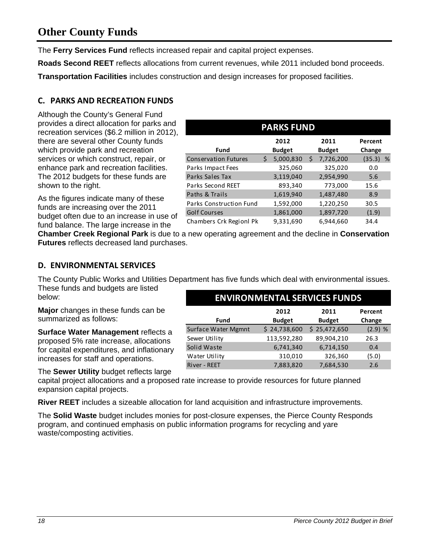### **Other County Funds**

The **Ferry Services Fund** reflects increased repair and capital project expenses.

**Roads Second REET** reflects allocations from current revenues, while 2011 included bond proceeds.

**Transportation Facilities** includes construction and design increases for proposed facilities.

#### **C. PARKS AND RECREATION FUNDS**

Although the County's General Fund provides a direct allocation for parks and recreation services (\$6.2 million in 2012), there are several other County funds which provide park and recreation services or which construct, repair, or enhance park and recreation facilities. The 2012 budgets for these funds are shown to the right.

As the figures indicate many of these funds are increasing over the 2011 budget often due to an increase in use of fund balance. The large increase in the

| <b>PARKS FUND</b>              |   |                       |    |                       |                   |   |
|--------------------------------|---|-----------------------|----|-----------------------|-------------------|---|
| Fund                           |   | 2012<br><b>Budget</b> |    | 2011<br><b>Budget</b> | Percent<br>Change |   |
| <b>Conservation Futures</b>    | Ś | 5,000,830             | \$ | 7,726,200             | (35.3)            | % |
| Parks Impact Fees              |   | 325,060               |    | 325,020               | 0.0               |   |
| Parks Sales Tax                |   | 3,119,040             |    | 2,954,990             | 5.6               |   |
| Parks Second REET              |   | 893,340               |    | 773,000               | 15.6              |   |
| Paths & Trails                 |   | 1,619,940             |    | 1,487,480             | 8.9               |   |
| <b>Parks Construction Fund</b> |   | 1,592,000             |    | 1,220,250             | 30.5              |   |
| <b>Golf Courses</b>            |   | 1,861,000             |    | 1,897,720             | (1.9)             |   |
| Chambers Crk Regionl Pk        |   | 9,331,690             |    | 6,944,660             | 34.4              |   |

**2012 Budget**

Surface Water Mgmnt 24,738,600 \$ \$ 25,472,650 (2.9) % Sewer Utility 113,592,280 89,904,210 26.3 Solid Waste  $6,741,340$   $6,714,150$  0.4 Water Utility  $\begin{array}{cccc} 310,010 & 326,360 & (5.0) \end{array}$ River - REET 7,883,820 7,684,530 2.6

**ENVIRONMENTAL SERVICES FUNDS**

**Chamber Creek Regional Park** is due to a new operating agreement and the decline in **Conservation Futures** reflects decreased land purchases.

#### **D. ENVIRONMENTAL SERVICES**

The County Public Works and Utilities Department has five funds which deal with environmental issues. These funds and budgets are listed

**Fund**

**Major** changes in these funds can be summarized as follows:

**Surface Water Management** reflects a proposed 5% rate increase, allocations for capital expenditures, and inflationary increases for staff and operations.

The **Sewer Utility** budget reflects large

capital project allocations and a proposed rate increase to provide resources for future planned expansion capital projects.

**River REET** includes a sizeable allocation for land acquisition and infrastructure improvements.

The **Solid Waste** budget includes monies for post-closure expenses, the Pierce County Responds program, and continued emphasis on public information programs for recycling and yare waste/composting activities.

**2011 Budget** **Percent Change**

below: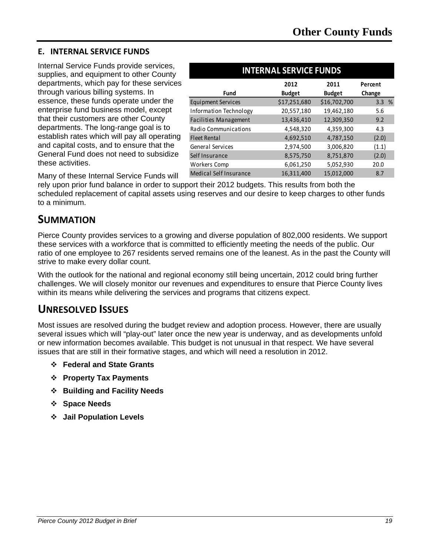#### **E. INTERNAL SERVICE FUNDS**

Internal Service Funds provide services, supplies, and equipment to other County departments, which pay for these services through various billing systems. In essence, these funds operate under the enterprise fund business model, except that their customers are other County departments. The long-range goal is to establish rates which will pay all operating and capital costs, and to ensure that the General Fund does not need to subsidize these activities.

| <b>INTERNAL SERVICE FUNDS</b> |               |               |         |  |  |  |
|-------------------------------|---------------|---------------|---------|--|--|--|
|                               | 2012          | 2011          | Percent |  |  |  |
| Fund                          | <b>Budget</b> | <b>Budget</b> | Change  |  |  |  |
| <b>Equipment Services</b>     | \$17,251,680  | \$16,702,700  | 3.3%    |  |  |  |
| Information Technology        | 20,557,180    | 19,462,180    | 5.6     |  |  |  |
| Facilities Management         | 13,436,410    | 12,309,350    | 9.2     |  |  |  |
| <b>Radio Communications</b>   | 4,548,320     | 4,359,300     | 4.3     |  |  |  |
| <b>Fleet Rental</b>           | 4,692,510     | 4,787,150     | (2.0)   |  |  |  |
| General Services              | 2,974,500     | 3,006,820     | (1.1)   |  |  |  |
| Self Insurance                | 8,575,750     | 8,751,870     | (2.0)   |  |  |  |
| Workers Comp                  | 6,061,250     | 5,052,930     | 20.0    |  |  |  |
| <b>Medical Self Insurance</b> | 16,311,400    | 15,012,000    | 8.7     |  |  |  |

Many of these Internal Service Funds will

rely upon prior fund balance in order to support their 2012 budgets. This results from both the scheduled replacement of capital assets using reserves and our desire to keep charges to other funds to a minimum.

### **SUMMATION**

Pierce County provides services to a growing and diverse population of 802,000 residents. We support these services with a workforce that is committed to efficiently meeting the needs of the public. Our ratio of one employee to 267 residents served remains one of the leanest. As in the past the County will strive to make every dollar count.

With the outlook for the national and regional economy still being uncertain, 2012 could bring further challenges. We will closely monitor our revenues and expenditures to ensure that Pierce County lives within its means while delivering the services and programs that citizens expect.

### **UNRESOLVED ISSUES**

Most issues are resolved during the budget review and adoption process. However, there are usually several issues which will "play-out" later once the new year is underway, and as developments unfold or new information becomes available. This budget is not unusual in that respect. We have several issues that are still in their formative stages, and which will need a resolution in 2012.

- **Federal and State Grants**
- **Property Tax Payments**
- **Building and Facility Needs**
- **Space Needs**
- **Jail Population Levels**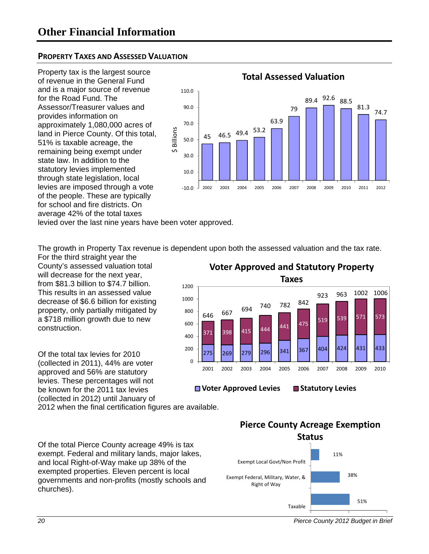#### **PROPERTY TAXES AND ASSESSED VALUATION**

Property tax is the largest source of revenue in the General Fund and is a major source of revenue for the Road Fund. The Assessor/Treasurer values and provides information on approximately 1,080,000 acres of land in Pierce County. Of this total, 51% is taxable acreage, the remaining being exempt under state law. In addition to the statutory levies implemented through state legislation, local levies are imposed through a vote of the people. These are typically for school and fire districts. On average 42% of the total taxes



levied over the last nine years have been voter approved.

The growth in Property Tax revenue is dependent upon both the assessed valuation and the tax rate.

For the third straight year the County's assessed valuation total will decrease for the next year. from \$81.3 billion to \$74.7 billion. This results in an assessed value decrease of \$6.6 billion for existing property, only partially mitigated by a \$718 million growth due to new construction.

Of the total tax levies for 2010 (collected in 2011), 44% are voter approved and 56% are statutory levies. These percentages will not be known for the 2011 tax levies (collected in 2012) until January of

2012 when the final certification figures are available.

Of the total Pierce County acreage 49% is tax exempt. Federal and military lands, major lakes, and local Right-of-Way make up 38% of the exempted properties. Eleven percent is local governments and non-profits (mostly schools and churches).

275 269 279 296 341 367 404 424 431 433 371 398 415 444 441 475 519 <sup>646</sup> <sup>539</sup> <sup>571</sup> <sup>573</sup> <sup>667</sup> <sup>694</sup> <sup>740</sup> <sup>782</sup> <sup>842</sup> 923 963 1002 1006  $\overline{0}$ 200 400 600 800 1000 1200 2001 2002 2003 2004 2005 2006 2007 2008 2009 2010 **Voter Approved and Statutory Property Taxes**

■ Voter Approved Levies ■ Statutory Levies



*<sup>20</sup> Pierce County 2012 Budget in Brief*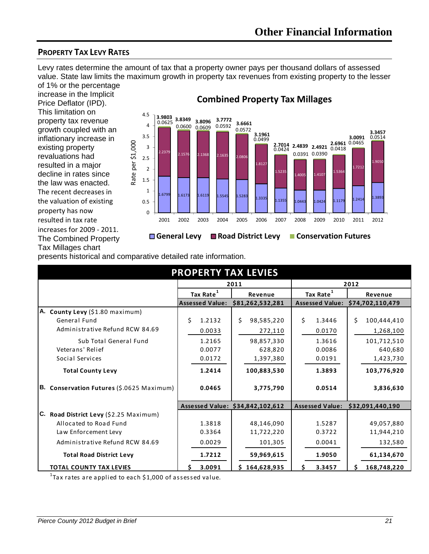### **PROPERTY TAX LEVY RATES**

Levy rates determine the amount of tax that a property owner pays per thousand dollars of assessed value. State law limits the maximum growth in property tax revenues from existing property to the lesser of 1% or the percentage

increase in the Implicit Price Deflator (IPD). This limitation on property tax revenue growth coupled with an inflationary increase in existing property revaluations had resulted in a major decline in rates since the law was enacted. The recent decreases in the valuation of existing property has now resulted in tax rate increases for 2009 ‐ 2011. The Combined Property Tax Millages chart



### **Combined Property Tax Millages**

presents historical and comparative detailed rate information.

| <b>PROPERTY TAX LEVIES</b>                |                        |                                  |                        |                                  |  |  |  |  |  |
|-------------------------------------------|------------------------|----------------------------------|------------------------|----------------------------------|--|--|--|--|--|
|                                           |                        | 2011                             | 2012                   |                                  |  |  |  |  |  |
|                                           | Tax Rate <sup>1</sup>  | Revenue                          | Tax Rate <sup>1</sup>  | Revenue                          |  |  |  |  |  |
|                                           | <b>Assessed Value:</b> | \$81,262,532,281                 | <b>Assessed Value:</b> | \$74,702,110,479                 |  |  |  |  |  |
| A. County Levy (\$1.80 maximum)           |                        |                                  |                        |                                  |  |  |  |  |  |
| General Fund                              | \$<br>1.2132           | Ś.<br>98,585,220                 | Ś.<br>1.3446           | Ś.<br>100,444,410                |  |  |  |  |  |
| Administrative Refund RCW 84.69           | 0.0033                 | 272,110                          | 0.0170                 | 1,268,100                        |  |  |  |  |  |
| Sub Total General Fund                    | 1.2165                 | 98,857,330                       | 1.3616                 | 101,712,510                      |  |  |  |  |  |
| Veterans' Relief                          | 0.0077                 | 628,820                          | 0.0086                 | 640,680                          |  |  |  |  |  |
| Social Services                           | 0.0172                 | 1,397,380                        | 0.0191                 | 1,423,730                        |  |  |  |  |  |
| <b>Total County Levy</b>                  | 1.2414                 | 100,883,530                      | 1.3893                 | 103,776,920                      |  |  |  |  |  |
| B. Conservation Futures (\$.0625 Maximum) | 0.0465                 | 3,775,790                        | 0.0514                 | 3,836,630                        |  |  |  |  |  |
|                                           |                        | Assessed Value: \$34,842,102,612 |                        | Assessed Value: \$32,091,440,190 |  |  |  |  |  |
| C. Road District Levy (\$2.25 Maximum)    |                        |                                  |                        |                                  |  |  |  |  |  |
| Allocated to Road Fund                    | 1.3818                 | 48,146,090                       | 1.5287                 | 49,057,880                       |  |  |  |  |  |
| Law Enforcement Levy                      | 0.3364                 | 11,722,220                       | 0.3722                 | 11,944,210                       |  |  |  |  |  |
| Administrative Refund RCW 84.69           | 0.0029                 | 101,305                          | 0.0041                 | 132,580                          |  |  |  |  |  |
| <b>Total Road District Levy</b>           | 1.7212                 | 59,969,615                       | 1.9050                 | 61,134,670                       |  |  |  |  |  |
| <b>TOTAL COUNTY TAX LEVIES</b>            | 3.0091                 | \$164,628,935                    | 3.3457<br>S.           | 168,748,220<br>S.                |  |  |  |  |  |

 $^{1}$ Tax rates are applied to each \$1,000 of assessed value.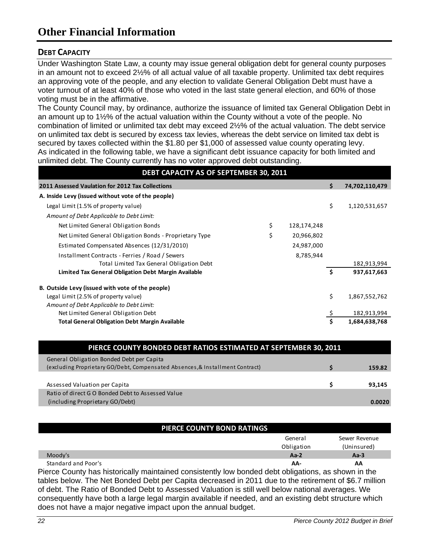#### **DEBT CAPACITY**

Under Washington State Law, a county may issue general obligation debt for general county purposes in an amount not to exceed 2½% of all actual value of all taxable property. Unlimited tax debt requires an approving vote of the people, and any election to validate General Obligation Debt must have a voter turnout of at least 40% of those who voted in the last state general election, and 60% of those voting must be in the affirmative.

The County Council may, by ordinance, authorize the issuance of limited tax General Obligation Debt in an amount up to 1½% of the actual valuation within the County without a vote of the people. No combination of limited or unlimited tax debt may exceed 2½% of the actual valuation. The debt service on unlimited tax debt is secured by excess tax levies, whereas the debt service on limited tax debt is secured by taxes collected within the \$1.80 per \$1,000 of assessed value county operating levy. As indicated in the following table, we have a significant debt issuance capacity for both limited and unlimited debt. The County currently has no voter approved debt outstanding.

| DEBT CAPACITY AS OF SEPTEMBER 30, 2011                  |                   |    |                |
|---------------------------------------------------------|-------------------|----|----------------|
| 2011 Assessed Vaulation for 2012 Tax Collections        |                   | Ś. | 74,702,110,479 |
| A. Inside Levy (issued without vote of the people)      |                   |    |                |
| Legal Limit (1.5% of property value)                    |                   | \$ | 1,120,531,657  |
| Amount of Debt Applicable to Debt Limit:                |                   |    |                |
| Net Limited General Obligation Bonds                    | \$<br>128,174,248 |    |                |
| Net Limited General Obligation Bonds - Proprietary Type | \$<br>20,966,802  |    |                |
| Estimated Compensated Absences (12/31/2010)             | 24,987,000        |    |                |
| Installment Contracts - Ferries / Road / Sewers         | 8,785,944         |    |                |
| Total Limited Tax General Obligation Debt               |                   |    | 182,913,994    |
| Limited Tax General Obligation Debt Margin Available    |                   | Ŝ. | 937,617,663    |
| B. Outside Levy (issued with vote of the people)        |                   |    |                |
| Legal Limit (2.5% of property value)                    |                   | \$ | 1,867,552,762  |
| Amount of Debt Applicable to Debt Limit:                |                   |    |                |
| Net Limited General Obligation Debt                     |                   |    | 182,913,994    |
| <b>Total General Obligation Debt Margin Available</b>   |                   | Ŝ. | 1,684,638,768  |

| PIERCE COUNTY BONDED DEBT RATIOS ESTIMATED AT SEPTEMBER 30, 2011              |  |        |  |  |  |  |  |
|-------------------------------------------------------------------------------|--|--------|--|--|--|--|--|
| General Obligation Bonded Debt per Capita                                     |  |        |  |  |  |  |  |
| (excluding Proprietary GO/Debt, Compensated Absences, & Installment Contract) |  | 159.82 |  |  |  |  |  |
|                                                                               |  |        |  |  |  |  |  |
| Assessed Valuation per Capita                                                 |  | 93,145 |  |  |  |  |  |
| Ratio of direct G O Bonded Debt to Assessed Value                             |  |        |  |  |  |  |  |
| (including Proprietary GO/Debt)                                               |  | 0.0020 |  |  |  |  |  |

| PIERCE COUNTY BOND RATINGS                                                                            |            |               |
|-------------------------------------------------------------------------------------------------------|------------|---------------|
|                                                                                                       | General    | Sewer Revenue |
|                                                                                                       | Obligation | (Uninsured)   |
| Moody's                                                                                               | $Aa-2$     | Aa $-3$       |
| Standard and Poor's                                                                                   | AA-        | AA            |
| Pierce County has historically maintained consistently low bonded debt obligations, as shown in the   |            |               |
| tables below. The Net Bonded Debt per Capita decreased in 2011 due to the retirement of \$6.7 million |            |               |
| of debt. The Ratio of Bonded Debt to Assessed Valuation is still well below national averages. We     |            |               |

of debt. The Ratio of Bonded Debt to Assessed Valuation is still well below national averages. We consequently have both a large legal margin available if needed, and an existing debt structure which does not have a major negative impact upon the annual budget.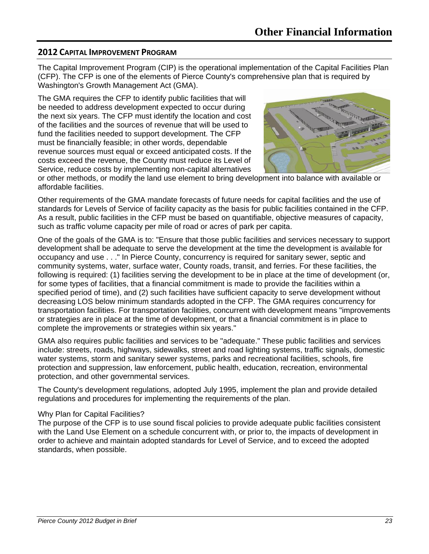#### **2012 CAPITAL IMPROVEMENT PROGRAM**

The Capital Improvement Program (CIP) is the operational implementation of the Capital Facilities Plan (CFP). The CFP is one of the elements of Pierce County's comprehensive plan that is required by Washington's Growth Management Act (GMA).

The GMA requires the CFP to identify public facilities that will be needed to address development expected to occur during the next six years. The CFP must identify the location and cost of the facilities and the sources of revenue that will be used to fund the facilities needed to support development. The CFP must be financially feasible; in other words, dependable revenue sources must equal or exceed anticipated costs. If the costs exceed the revenue, the County must reduce its Level of Service, reduce costs by implementing non-capital alternatives



or other methods, or modify the land use element to bring development into balance with available or affordable facilities.

Other requirements of the GMA mandate forecasts of future needs for capital facilities and the use of standards for Levels of Service of facility capacity as the basis for public facilities contained in the CFP. As a result, public facilities in the CFP must be based on quantifiable, objective measures of capacity, such as traffic volume capacity per mile of road or acres of park per capita.

One of the goals of the GMA is to: "Ensure that those public facilities and services necessary to support development shall be adequate to serve the development at the time the development is available for occupancy and use . . ." In Pierce County, concurrency is required for sanitary sewer, septic and community systems, water, surface water, County roads, transit, and ferries. For these facilities, the following is required: (1) facilities serving the development to be in place at the time of development (or, for some types of facilities, that a financial commitment is made to provide the facilities within a specified period of time), and (2) such facilities have sufficient capacity to serve development without decreasing LOS below minimum standards adopted in the CFP. The GMA requires concurrency for transportation facilities. For transportation facilities, concurrent with development means "improvements or strategies are in place at the time of development, or that a financial commitment is in place to complete the improvements or strategies within six years."

GMA also requires public facilities and services to be "adequate." These public facilities and services include: streets, roads, highways, sidewalks, street and road lighting systems, traffic signals, domestic water systems, storm and sanitary sewer systems, parks and recreational facilities, schools, fire protection and suppression, law enforcement, public health, education, recreation, environmental protection, and other governmental services.

The County's development regulations, adopted July 1995, implement the plan and provide detailed regulations and procedures for implementing the requirements of the plan.

#### Why Plan for Capital Facilities?

The purpose of the CFP is to use sound fiscal policies to provide adequate public facilities consistent with the Land Use Element on a schedule concurrent with, or prior to, the impacts of development in order to achieve and maintain adopted standards for Level of Service, and to exceed the adopted standards, when possible.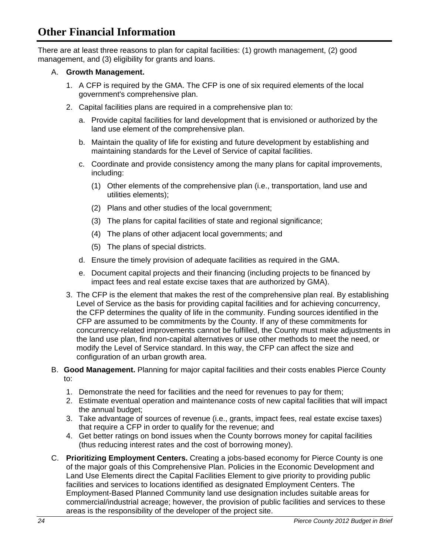There are at least three reasons to plan for capital facilities: (1) growth management, (2) good management, and (3) eligibility for grants and loans.

#### A. **Growth Management.**

- 1. A CFP is required by the GMA. The CFP is one of six required elements of the local government's comprehensive plan.
- 2. Capital facilities plans are required in a comprehensive plan to:
	- a. Provide capital facilities for land development that is envisioned or authorized by the land use element of the comprehensive plan.
	- b. Maintain the quality of life for existing and future development by establishing and maintaining standards for the Level of Service of capital facilities.
	- c. Coordinate and provide consistency among the many plans for capital improvements, including:
		- (1) Other elements of the comprehensive plan (i.e., transportation, land use and utilities elements);
		- (2) Plans and other studies of the local government;
		- (3) The plans for capital facilities of state and regional significance;
		- (4) The plans of other adjacent local governments; and
		- (5) The plans of special districts.
	- d. Ensure the timely provision of adequate facilities as required in the GMA.
	- e. Document capital projects and their financing (including projects to be financed by impact fees and real estate excise taxes that are authorized by GMA).
- 3. The CFP is the element that makes the rest of the comprehensive plan real. By establishing Level of Service as the basis for providing capital facilities and for achieving concurrency, the CFP determines the quality of life in the community. Funding sources identified in the CFP are assumed to be commitments by the County. If any of these commitments for concurrency-related improvements cannot be fulfilled, the County must make adjustments in the land use plan, find non-capital alternatives or use other methods to meet the need, or modify the Level of Service standard. In this way, the CFP can affect the size and configuration of an urban growth area.
- B. **Good Management.** Planning for major capital facilities and their costs enables Pierce County to:
	- 1. Demonstrate the need for facilities and the need for revenues to pay for them;
	- 2. Estimate eventual operation and maintenance costs of new capital facilities that will impact the annual budget;
	- 3. Take advantage of sources of revenue (i.e., grants, impact fees, real estate excise taxes) that require a CFP in order to qualify for the revenue; and
	- 4. Get better ratings on bond issues when the County borrows money for capital facilities (thus reducing interest rates and the cost of borrowing money).
- C. **Prioritizing Employment Centers.** Creating a jobs-based economy for Pierce County is one of the major goals of this Comprehensive Plan. Policies in the Economic Development and Land Use Elements direct the Capital Facilities Element to give priority to providing public facilities and services to locations identified as designated Employment Centers. The Employment-Based Planned Community land use designation includes suitable areas for commercial/industrial acreage; however, the provision of public facilities and services to these areas is the responsibility of the developer of the project site.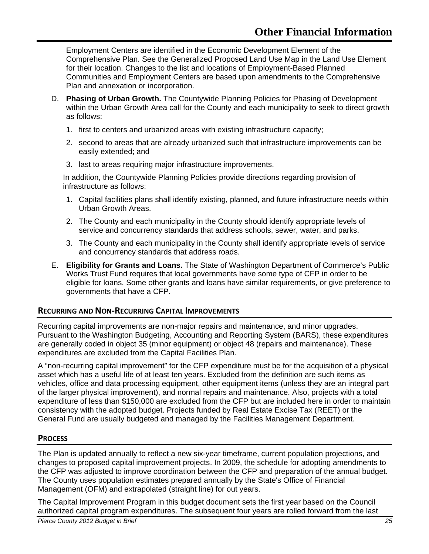Employment Centers are identified in the Economic Development Element of the Comprehensive Plan. See the Generalized Proposed Land Use Map in the Land Use Element for their location. Changes to the list and locations of Employment-Based Planned Communities and Employment Centers are based upon amendments to the Comprehensive Plan and annexation or incorporation.

- D. **Phasing of Urban Growth.** The Countywide Planning Policies for Phasing of Development within the Urban Growth Area call for the County and each municipality to seek to direct growth as follows:
	- 1. first to centers and urbanized areas with existing infrastructure capacity;
	- 2. second to areas that are already urbanized such that infrastructure improvements can be easily extended; and
	- 3. last to areas requiring major infrastructure improvements.

In addition, the Countywide Planning Policies provide directions regarding provision of infrastructure as follows:

- 1. Capital facilities plans shall identify existing, planned, and future infrastructure needs within Urban Growth Areas.
- 2. The County and each municipality in the County should identify appropriate levels of service and concurrency standards that address schools, sewer, water, and parks.
- 3. The County and each municipality in the County shall identify appropriate levels of service and concurrency standards that address roads.
- E. **Eligibility for Grants and Loans.** The State of Washington Department of Commerce's Public Works Trust Fund requires that local governments have some type of CFP in order to be eligible for loans. Some other grants and loans have similar requirements, or give preference to governments that have a CFP.

#### **RECURRING AND NON‐RECURRING CAPITAL IMPROVEMENTS**

Recurring capital improvements are non-major repairs and maintenance, and minor upgrades. Pursuant to the Washington Budgeting, Accounting and Reporting System (BARS), these expenditures are generally coded in object 35 (minor equipment) or object 48 (repairs and maintenance). These expenditures are excluded from the Capital Facilities Plan.

A "non-recurring capital improvement" for the CFP expenditure must be for the acquisition of a physical asset which has a useful life of at least ten years. Excluded from the definition are such items as vehicles, office and data processing equipment, other equipment items (unless they are an integral part of the larger physical improvement), and normal repairs and maintenance. Also, projects with a total expenditure of less than \$150,000 are excluded from the CFP but are included here in order to maintain consistency with the adopted budget. Projects funded by Real Estate Excise Tax (REET) or the General Fund are usually budgeted and managed by the Facilities Management Department.

#### **PROCESS**

The Plan is updated annually to reflect a new six-year timeframe, current population projections, and changes to proposed capital improvement projects. In 2009, the schedule for adopting amendments to the CFP was adjusted to improve coordination between the CFP and preparation of the annual budget. The County uses population estimates prepared annually by the State's Office of Financial Management (OFM) and extrapolated (straight line) for out years.

The Capital Improvement Program in this budget document sets the first year based on the Council authorized capital program expenditures. The subsequent four years are rolled forward from the last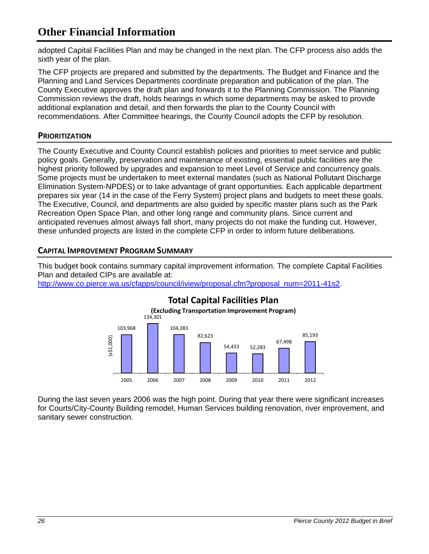adopted Capital Facilities Plan and may be changed in the next plan. The CFP process also adds the sixth year of the plan.

The CFP projects are prepared and submitted by the departments. The Budget and Finance and the Planning and Land Services Departments coordinate preparation and publication of the plan. The County Executive approves the draft plan and forwards it to the Planning Commission. The Planning Commission reviews the draft, holds hearings in which some departments may be asked to provide additional explanation and detail, and then forwards the plan to the County Council with recommendations. After Committee hearings, the County Council adopts the CFP by resolution.

#### **PRIORITIZATION**

The County Executive and County Council establish policies and priorities to meet service and public policy goals. Generally, preservation and maintenance of existing, essential public facilities are the highest priority followed by upgrades and expansion to meet Level of Service and concurrency goals. Some projects must be undertaken to meet external mandates (such as National Pollutant Discharge Elimination System-NPDES) or to take advantage of grant opportunities. Each applicable department prepares six year (14 in the case of the Ferry System) project plans and budgets to meet these goals. The Executive, Council, and departments are also guided by specific master plans such as the Park Recreation Open Space Plan, and other long range and community plans. Since current and anticipated revenues almost always fall short, many projects do not make the funding cut. However, these unfunded projects are listed in the complete CFP in order to inform future deliberations.

#### **CAPITAL IMPROVEMENT PROGRAM SUMMARY**

This budget book contains summary capital improvement information. The complete Capital Facilities Plan and detailed CIPs are available at:

http://www.co.pierce.wa.us/cfapps/council/iview/proposal.cfm?proposal\_num=2011-41s2.



During the last seven years 2006 was the high point. During that year there were significant increases for Courts/City-County Building remodel, Human Services building renovation, river improvement, and sanitary sewer construction.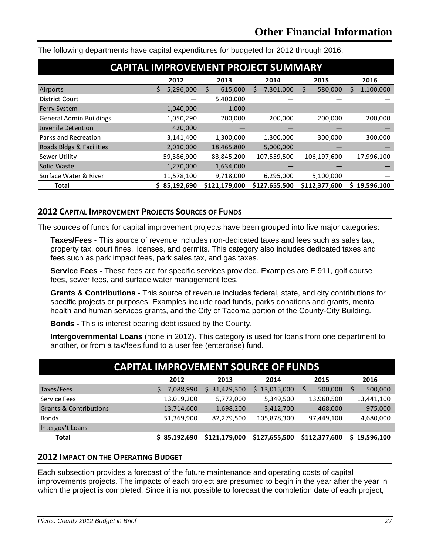| <b>CAPITAL IMPROVEMENT PROJECT SUMMARY</b> |   |              |   |               |   |               |   |               |   |            |
|--------------------------------------------|---|--------------|---|---------------|---|---------------|---|---------------|---|------------|
|                                            |   | 2012         |   | 2013          |   | 2014          |   | 2015          |   | 2016       |
| Airports                                   | S | 5,296,000    | S | 615,000       | S | 7,301,000     | Ś | 580,000       | S | 1,100,000  |
| <b>District Court</b>                      |   |              |   | 5,400,000     |   |               |   |               |   |            |
| <b>Ferry System</b>                        |   | 1,040,000    |   | 1,000         |   |               |   |               |   |            |
| <b>General Admin Buildings</b>             |   | 1,050,290    |   | 200,000       |   | 200,000       |   | 200,000       |   | 200,000    |
| Juvenile Detention                         |   | 420,000      |   |               |   |               |   |               |   |            |
| Parks and Recreation                       |   | 3,141,400    |   | 1,300,000     |   | 1,300,000     |   | 300,000       |   | 300,000    |
| Roads Bldgs & Facilities                   |   | 2,010,000    |   | 18,465,800    |   | 5,000,000     |   |               |   |            |
| Sewer Utility                              |   | 59,386,900   |   | 83,845,200    |   | 107,559,500   |   | 106,197,600   |   | 17,996,100 |
| Solid Waste                                |   | 1,270,000    |   | 1,634,000     |   |               |   |               |   |            |
| Surface Water & River                      |   | 11,578,100   |   | 9,718,000     |   | 6,295,000     |   | 5,100,000     |   |            |
| <b>Total</b>                               |   | \$85,192,690 |   | \$121,179,000 |   | \$127,655,500 |   | \$112,377,600 | s | 19,596,100 |

The following departments have capital expenditures for budgeted for 2012 through 2016.

#### **2012 CAPITAL IMPROVEMENT PROJECTS SOURCES OF FUNDS**

The sources of funds for capital improvement projects have been grouped into five major categories:

**Taxes/Fees** - This source of revenue includes non-dedicated taxes and fees such as sales tax, property tax, court fines, licenses, and permits. This category also includes dedicated taxes and fees such as park impact fees, park sales tax, and gas taxes.

**Service Fees -** These fees are for specific services provided. Examples are E 911, golf course fees, sewer fees, and surface water management fees.

**Grants & Contributions** - This source of revenue includes federal, state, and city contributions for specific projects or purposes. Examples include road funds, parks donations and grants, mental health and human services grants, and the City of Tacoma portion of the County-City Building.

**Bonds -** This is interest bearing debt issued by the County.

**Intergovernmental Loans** (none in 2012). This category is used for loans from one department to another, or from a tax/fees fund to a user fee (enterprise) fund.

| <b>CAPITAL IMPROVEMENT SOURCE OF FUNDS</b> |  |              |               |               |               |                  |  |  |  |  |
|--------------------------------------------|--|--------------|---------------|---------------|---------------|------------------|--|--|--|--|
|                                            |  | 2012         | 2013          | 2014          | 2015          | 2016             |  |  |  |  |
| Taxes/Fees                                 |  | 7,088,990    | \$31,429,300  | \$13,015,000  | 500,000       | 500,000          |  |  |  |  |
| <b>Service Fees</b>                        |  | 13,019,200   | 5,772,000     | 5,349,500     | 13,960,500    | 13,441,100       |  |  |  |  |
| <b>Grants &amp; Contributions</b>          |  | 13,714,600   | 1,698,200     | 3,412,700     | 468,000       | 975,000          |  |  |  |  |
| <b>Bonds</b>                               |  | 51,369,900   | 82,279,500    | 105,878,300   | 97,449,100    | 4,680,000        |  |  |  |  |
| Intergov't Loans                           |  |              |               |               |               |                  |  |  |  |  |
| <b>Total</b>                               |  | \$85,192,690 | \$121,179,000 | \$127,655,500 | \$112,377,600 | 19,596,100<br>S. |  |  |  |  |

#### **2012 IMPACT ON THE OPERATING BUDGET**

Each subsection provides a forecast of the future maintenance and operating costs of capital improvements projects. The impacts of each project are presumed to begin in the year after the year in which the project is completed. Since it is not possible to forecast the completion date of each project,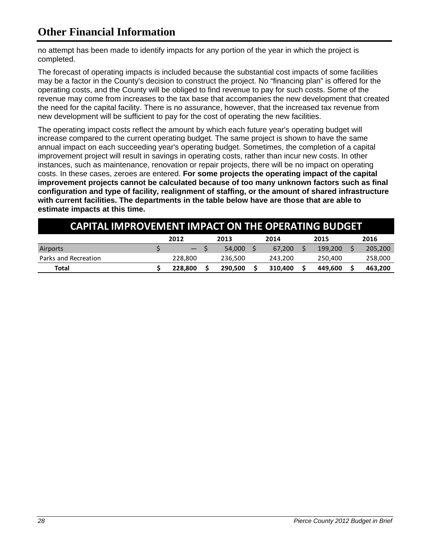no attempt has been made to identify impacts for any portion of the year in which the project is completed.

The forecast of operating impacts is included because the substantial cost impacts of some facilities may be a factor in the County's decision to construct the project. No "financing plan" is offered for the operating costs, and the County will be obliged to find revenue to pay for such costs. Some of the revenue may come from increases to the tax base that accompanies the new development that created the need for the capital facility. There is no assurance, however, that the increased tax revenue from new development will be sufficient to pay for the cost of operating the new facilities.

The operating impact costs reflect the amount by which each future year's operating budget will increase compared to the current operating budget. The same project is shown to have the same annual impact on each succeeding year's operating budget. Sometimes, the completion of a capital improvement project will result in savings in operating costs, rather than incur new costs. In other instances, such as maintenance, renovation or repair projects, there will be no impact on operating costs. In these cases, zeroes are entered. **For some projects the operating impact of the capital improvement projects cannot be calculated because of too many unknown factors such as final configuration and type of facility, realignment of staffing, or the amount of shared infrastructure with current facilities. The departments in the table below have are those that are able to estimate impacts at this time.** 

| <b>CAPITAL IMPROVEMENT IMPACT ON THE OPERATING BUDGET</b> |  |         |  |         |  |         |  |         |  |         |
|-----------------------------------------------------------|--|---------|--|---------|--|---------|--|---------|--|---------|
|                                                           |  | 2012    |  | 2013    |  | 2014    |  | 2015    |  | 2016    |
| Airports                                                  |  |         |  | 54,000  |  | 67.200  |  | 199.200 |  | 205,200 |
| Parks and Recreation                                      |  | 228.800 |  | 236.500 |  | 243.200 |  | 250.400 |  | 258,000 |
| Total                                                     |  | 228.800 |  | 290.500 |  | 310,400 |  | 449.600 |  | 463,200 |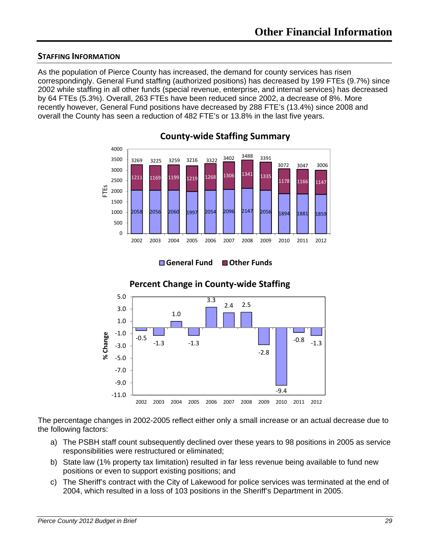#### **STAFFING INFORMATION**

As the population of Pierce County has increased, the demand for county services has risen correspondingly. General Fund staffing (authorized positions) has decreased by 199 FTEs (9.7%) since 2002 while staffing in all other funds (special revenue, enterprise, and internal services) has decreased by 64 FTEs (5.3%). Overall, 263 FTEs have been reduced since 2002, a decrease of 8%. More recently however, General Fund positions have decreased by 288 FTE's (13.4%) since 2008 and overall the County has seen a reduction of 482 FTE's or 13.8% in the last five years.



**County‐wide Staffing Summary**



### **Percent Change in County‐wide Staffing**

**General Fund Other Funds**

The percentage changes in 2002-2005 reflect either only a small increase or an actual decrease due to the following factors:

- a) The PSBH staff count subsequently declined over these years to 98 positions in 2005 as service responsibilities were restructured or eliminated;
- b) State law (1% property tax limitation) resulted in far less revenue being available to fund new positions or even to support existing positions; and
- c) The Sheriff's contract with the City of Lakewood for police services was terminated at the end of 2004, which resulted in a loss of 103 positions in the Sheriff's Department in 2005.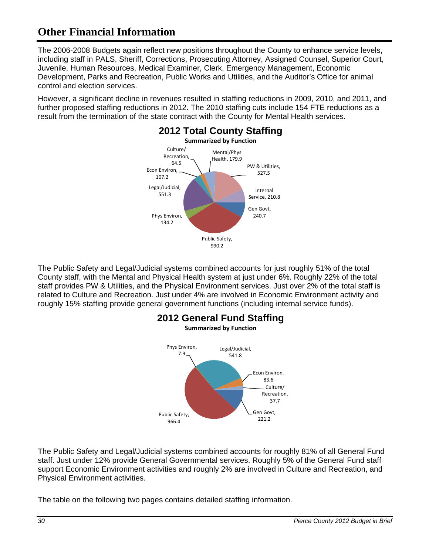The 2006-2008 Budgets again reflect new positions throughout the County to enhance service levels, including staff in PALS, Sheriff, Corrections, Prosecuting Attorney, Assigned Counsel, Superior Court, Juvenile, Human Resources, Medical Examiner, Clerk, Emergency Management, Economic Development, Parks and Recreation, Public Works and Utilities, and the Auditor's Office for animal control and election services.

However, a significant decline in revenues resulted in staffing reductions in 2009, 2010, and 2011, and further proposed staffing reductions in 2012. The 2010 staffing cuts include 154 FTE reductions as a result from the termination of the state contract with the County for Mental Health services.



The Public Safety and Legal/Judicial systems combined accounts for just roughly 51% of the total County staff, with the Mental and Physical Health system at just under 6%. Roughly 22% of the total staff provides PW & Utilities, and the Physical Environment services. Just over 2% of the total staff is related to Culture and Recreation. Just under 4% are involved in Economic Environment activity and roughly 15% staffing provide general government functions (including internal service funds).



The Public Safety and Legal/Judicial systems combined accounts for roughly 81% of all General Fund staff. Just under 12% provide General Governmental services. Roughly 5% of the General Fund staff support Economic Environment activities and roughly 2% are involved in Culture and Recreation, and Physical Environment activities.

The table on the following two pages contains detailed staffing information.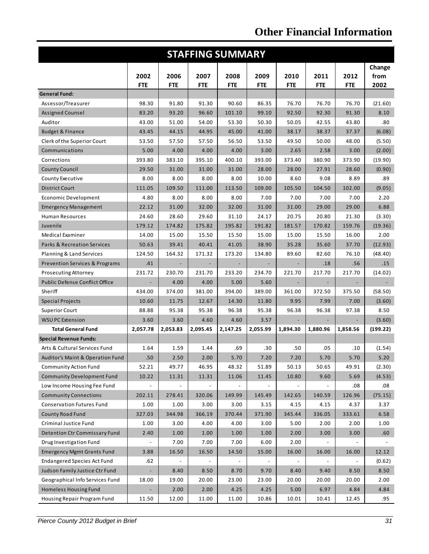| <b>STAFFING SUMMARY</b>                   |                          |                          |                          |                          |                          |                              |            |            |          |
|-------------------------------------------|--------------------------|--------------------------|--------------------------|--------------------------|--------------------------|------------------------------|------------|------------|----------|
|                                           |                          |                          |                          |                          |                          |                              |            |            | Change   |
|                                           | 2002                     | 2006                     | 2007                     | 2008                     | 2009                     | 2010                         | 2011       | 2012       | from     |
|                                           | <b>FTE</b>               | <b>FTE</b>               | <b>FTE</b>               | <b>FTE</b>               | <b>FTE</b>               | <b>FTE</b>                   | <b>FTE</b> | <b>FTE</b> | 2002     |
| <b>General Fund:</b>                      |                          |                          |                          |                          |                          |                              |            |            |          |
| Assessor/Treasurer                        | 98.30                    | 91.80                    | 91.30                    | 90.60                    | 86.35                    | 76.70                        | 76.70      | 76.70      | (21.60)  |
| <b>Assigned Counsel</b>                   | 83.20                    | 93.20                    | 96.60                    | 101.10                   | 99.10                    | 92.50                        | 92.30      | 91.30      | 8.10     |
| Auditor                                   | 43.00                    | 51.00                    | 54.00                    | 53.30                    | 50.30                    | 50.05                        | 42.55      | 43.80      | .80      |
| <b>Budget &amp; Finance</b>               | 43.45                    | 44.15                    | 44.95                    | 45.00                    | 41.00                    | 38.17                        | 38.37      | 37.37      | (6.08)   |
| Clerk of the Superior Court               | 53.50                    | 57.50                    | 57.50                    | 56.50                    | 53.50                    | 49.50                        | 50.00      | 48.00      | (5.50)   |
| Communications                            | 5.00                     | 4.00                     | 4.00                     | 4.00                     | 3.00                     | 2.65                         | 2.58       | 3.00       | (2.00)   |
| Corrections                               | 393.80                   | 383.10                   | 395.10                   | 400.10                   | 393.00                   | 373.40                       | 380.90     | 373.90     | (19.90)  |
| <b>County Council</b>                     | 29.50                    | 31.00                    | 31.00                    | 31.00                    | 28.00                    | 28.00                        | 27.91      | 28.60      | (0.90)   |
| County Executive                          | 8.00                     | 8.00                     | 8.00                     | 8.00                     | 10.00                    | 8.60                         | 9.08       | 8.89       | .89      |
| <b>District Court</b>                     | 111.05                   | 109.50                   | 111.00                   | 113.50                   | 109.00                   | 105.50                       | 104.50     | 102.00     | (9.05)   |
| <b>Economic Development</b>               | 4.80                     | 8.00                     | 8.00                     | 8.00                     | 7.00                     | 7.00                         | 7.00       | 7.00       | 2.20     |
| <b>Emergency Management</b>               | 22.12                    | 31.00                    | 32.00                    | 32.00                    | 31.00                    | 31.00                        | 29.00      | 29.00      | 6.88     |
| <b>Human Resources</b>                    | 24.60                    | 28.60                    | 29.60                    | 31.10                    | 24.17                    | 20.75                        | 20.80      | 21.30      | (3.30)   |
| Juvenile                                  | 179.12                   | 174.82                   | 175.82                   | 195.82                   | 191.82                   | 181.57                       | 170.82     | 159.76     | (19.36)  |
| Medical Examiner                          | 14.00                    | 15.00                    | 15.50                    | 15.50                    | 15.00                    | 15.00                        | 15.50      | 16.00      | 2.00     |
| <b>Parks &amp; Recreation Services</b>    | 50.63                    | 39.41                    | 40.41                    | 41.05                    | 38.90                    | 35.28                        | 35.60      | 37.70      | (12.93)  |
| Planning & Land Services                  | 124.50                   | 164.32                   | 171.32                   | 173.20                   | 134.80                   | 89.60                        | 82.60      | 76.10      | (48.40)  |
| <b>Prevention Services &amp; Programs</b> | .41                      |                          |                          |                          |                          |                              | .18        | .56        | .15      |
| <b>Prosecuting Attorney</b>               | 231.72                   | 230.70                   | 231.70                   | 233.20                   | 234.70                   | 221.70                       | 217.70     | 217.70     | (14.02)  |
| <b>Public Defense Conflict Office</b>     |                          | 4.00                     | 4.00                     | 5.00                     | 5.60                     |                              |            |            |          |
| Sheriff                                   | 434.00                   | 374.00                   | 381.00                   | 394.00                   | 389.00                   | 361.00                       | 372.50     | 375.50     | (58.50)  |
| <b>Special Projects</b>                   | 10.60                    | 11.75                    | 12.67                    | 14.30                    | 11.80                    | 9.95                         | 7.99       | 7.00       | (3.60)   |
| <b>Superior Court</b>                     | 88.88                    | 95.38                    | 95.38                    | 96.38                    | 95.38                    | 96.38                        | 96.38      | 97.38      | 8.50     |
| <b>WSU PC Extension</b>                   | 3.60                     | 3.60                     | 4.60                     | 4.60                     | 3.57                     |                              |            |            | (3.60)   |
| <b>Total General Fund</b>                 | 2,057.78                 | 2,053.83                 | 2.095.45                 | 2,147.25                 | 2,055.99                 | 1.894.30                     | 1,880.96   | 1,858.56   | (199.22) |
| <b>Special Revenue Funds:</b>             |                          |                          |                          |                          |                          |                              |            |            |          |
| Arts & Cultural Services Fund             | 1.64                     | 1.59                     | 1.44                     | .69                      | .30                      | .50                          | .05        | .10        | (1.54)   |
| Auditor's Maint & Operation Fund          | .50                      | 2.50                     | 2.00                     | 5.70                     | $7.20\,$                 | 7.20                         | 5.70       | 5.70       | 5.20     |
| <b>Community Action Fund</b>              | 52.21                    | 49.77                    | 46.95                    | 48.32                    | 51.89                    | 50.13                        | 50.65      | 49.91      | (2.30)   |
| <b>Community Development Fund</b>         | 10.22                    | 11.31                    | 11.31                    | 11.06                    | 11.45                    | 10.80                        | 9.60       | 5.69       | (4.53)   |
| Low Income Housing Fee Fund               | $\overline{\phantom{a}}$ |                          |                          | $\overline{\phantom{a}}$ |                          |                              |            | .08        | .08      |
| <b>Community Connections</b>              | 202.11                   | 278.41                   | 320.06                   | 149.99                   | 145.49                   | 142.65                       | 140.59     | 126.96     | (75.15)  |
| <b>Conservation Futures Fund</b>          | 1.00                     | 1.00                     | 3.00                     | 3.00                     | 3.15                     | 4.15                         | 4.15       | 4.37       | 3.37     |
| <b>County Road Fund</b>                   | 327.03                   | 344.98                   | 366.19                   | 370.44                   | 371.90                   | 345.44                       | 336.05     | 333.61     | 6.58     |
| Criminal Justice Fund                     | 1.00                     | 3.00                     | 4.00                     | 4.00                     | 3.00                     | 5.00                         | 2.00       | 2.00       | 1.00     |
| Detention Ctr Commissary Fund             | 2.40                     | 1.00                     | 1.00                     | 1.00                     | 1.00                     | 2.00                         | 3.00       | 3.00       | .60      |
| Drug Investigation Fund                   |                          | 7.00                     | 7.00                     | 7.00                     | 6.00                     | 2.00                         |            |            |          |
| <b>Emergency Mgmt Grants Fund</b>         | 3.88                     | 16.50                    | 16.50                    | 14.50                    | 15.00                    | 16.00                        | 16.00      | 16.00      | 12.12    |
| <b>Endangered Species Act Fund</b>        | .62                      | $\overline{\phantom{a}}$ | $\overline{\phantom{a}}$ | $\overline{\phantom{a}}$ | $\overline{\phantom{a}}$ | $\qquad \qquad \blacksquare$ |            |            | (0.62)   |
| Judson Family Justice Ctr Fund            |                          | 8.40                     | 8.50                     | 8.70                     | 9.70                     | 8.40                         | 9.40       | 8.50       | 8.50     |
| Geographical Info Services Fund           | 18.00                    | 19.00                    | 20.00                    | 23.00                    | 23.00                    | 20.00                        | 20.00      | 20.00      | 2.00     |
| Homeless Housing Fund                     |                          | 2.00                     | 2.00                     | 4.25                     | 4.25                     | 5.00                         | 6.97       | 4.84       | 4.84     |
| Housing Repair Program Fund               | 11.50                    | 12.00                    | 11.00                    | 11.00                    | 10.86                    | 10.01                        | 10.41      | 12.45      | .95      |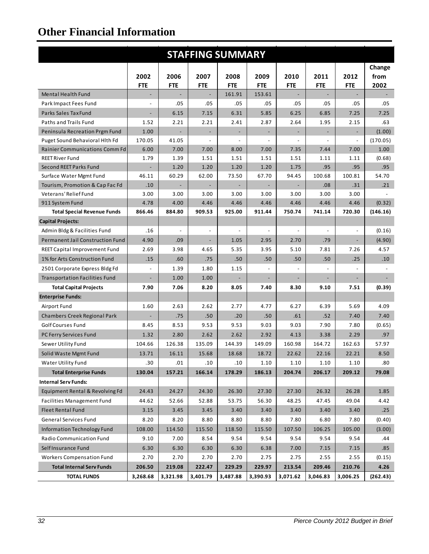| <b>STAFFING SUMMARY</b>               |                          |                          |                              |                          |                          |                              |                          |                          |          |
|---------------------------------------|--------------------------|--------------------------|------------------------------|--------------------------|--------------------------|------------------------------|--------------------------|--------------------------|----------|
|                                       |                          |                          |                              |                          |                          |                              |                          |                          | Change   |
|                                       | 2002                     | 2006                     | 2007                         | 2008                     | 2009                     | 2010                         | 2011                     | 2012                     | from     |
|                                       | <b>FTE</b>               | <b>FTE</b>               | <b>FTE</b>                   | <b>FTE</b>               | <b>FTE</b>               | <b>FTE</b>                   | <b>FTE</b>               | <b>FTE</b>               | 2002     |
| Mental Health Fund                    | $\overline{\phantom{a}}$ |                          | $\overline{\phantom{m}}$     | 161.91                   | 153.61                   | $\qquad \qquad \blacksquare$ | $\overline{\phantom{a}}$ | $\overline{\phantom{a}}$ |          |
| Park Impact Fees Fund                 |                          | .05                      | .05                          | .05                      | .05                      | .05                          | .05                      | .05                      | .05      |
| Parks Sales Tax Fund                  |                          | 6.15                     | 7.15                         | 6.31                     | 5.85                     | 6.25                         | 6.85                     | 7.25                     | 7.25     |
| Paths and Trails Fund                 | 1.52                     | 2.21                     | 2.21                         | 2.41                     | 2.87                     | 2.64                         | 1.95                     | 2.15                     | .63      |
| Peninsula Recreation Prgm Fund        | 1.00                     |                          |                              |                          |                          |                              |                          |                          | (1.00)   |
| Puget Sound Behavioral Hith Fd        | 170.05                   | 41.05                    |                              | $\overline{\phantom{a}}$ |                          | $\overline{\phantom{a}}$     |                          |                          | (170.05) |
| Rainier Communications Comm Fd        | 6.00                     | 7.00                     | 7.00                         | 8.00                     | 7.00                     | 7.35                         | 7.44                     | 7.00                     | 1.00     |
| <b>REET River Fund</b>                | 1.79                     | 1.39                     | 1.51                         | 1.51                     | 1.51                     | 1.51                         | 1.11                     | 1.11                     | (0.68)   |
| Second REET Parks Fund                |                          | 1.20                     | 1.20                         | 1.20                     | 1.20                     | 1.75                         | .95                      | .95                      | .95      |
| Surface Water Mgmt Fund               | 46.11                    | 60.29                    | 62.00                        | 73.50                    | 67.70                    | 94.45                        | 100.68                   | 100.81                   | 54.70    |
| Tourism, Promotion & Cap Fac Fd       | .10                      | $\overline{\phantom{a}}$ | $\overline{\phantom{a}}$     | $\overline{\phantom{a}}$ | $\overline{\phantom{a}}$ | $\blacksquare$               | .08                      | .31                      | .21      |
| Veterans' Relief Fund                 | 3.00                     | 3.00                     | 3.00                         | 3.00                     | 3.00                     | 3.00                         | 3.00                     | 3.00                     |          |
| 911 System Fund                       | 4.78                     | 4.00                     | 4.46                         | 4.46                     | 4.46                     | 4.46                         | 4.46                     | 4.46                     | (0.32)   |
| <b>Total Special Revenue Funds</b>    | 866.46                   | 884.80                   | 909.53                       | 925.00                   | 911.44                   | 750.74                       | 741.14                   | 720.30                   | (146.16) |
| <b>Capital Projects:</b>              |                          |                          |                              |                          |                          |                              |                          |                          |          |
| Admin Bldg & Facilities Fund          | .16                      |                          | $\overline{\phantom{a}}$     | $\overline{\phantom{a}}$ |                          | $\overline{a}$               |                          | $\frac{1}{2}$            | (0.16)   |
| Permanent Jail Construction Fund      | 4.90                     | .09                      | $\qquad \qquad \blacksquare$ | 1.05                     | 2.95                     | 2.70                         | .79                      | $\overline{\phantom{a}}$ | (4.90)   |
| <b>REET Capital Improvement Fund</b>  | 2.69                     | 3.98                     | 4.65                         | 5.35                     | 3.95                     | 5.10                         | 7.81                     | 7.26                     | 4.57     |
| 1% for Arts Construction Fund         | .15                      | .60                      | .75                          | .50                      | .50                      | .50                          | .50                      | .25                      | .10      |
| 2501 Corporate Express Bldg Fd        |                          | 1.39                     | 1.80                         | 1.15                     |                          |                              |                          |                          |          |
| <b>Transportation Facilities Fund</b> |                          | 1.00                     | 1.00                         | ÷,                       |                          |                              |                          |                          |          |
| <b>Total Capital Projects</b>         | 7.90                     | 7.06                     | 8.20                         | 8.05                     | 7.40                     | 8.30                         | 9.10                     | 7.51                     | (0.39)   |
| <b>Enterprise Funds:</b>              |                          |                          |                              |                          |                          |                              |                          |                          |          |
| Airport Fund                          | 1.60                     | 2.63                     | 2.62                         | 2.77                     | 4.77                     | 6.27                         | 6.39                     | 5.69                     | 4.09     |
| Chambers Creek Regional Park          |                          | .75                      | .50                          | .20                      | .50                      | .61                          | .52                      | 7.40                     | 7.40     |
| Golf Courses Fund                     | 8.45                     | 8.53                     | 9.53                         | 9.53                     | 9.03                     | 9.03                         | 7.90                     | 7.80                     | (0.65)   |
| PC Ferry Services Fund                | 1.32                     | 2.80                     | 2.62                         | 2.62                     | 2.92                     | 4.13                         | 3.38                     | 2.29                     | .97      |
| Sewer Utility Fund                    | 104.66                   | 126.38                   | 135.09                       | 144.39                   | 149.09                   | 160.98                       | 164.72                   | 162.63                   | 57.97    |
| Solid Waste Mgmt Fund                 | 13.71                    | 16.11                    | 15.68                        | 18.68                    | 18.72                    | 22.62                        | 22.16                    | 22.21                    | 8.50     |
| Water Utility Fund                    | .30                      | .01                      | .10                          | .10                      | 1.10                     | 1.10                         | 1.10                     | 1.10                     | .80      |
| <b>Total Enterprise Funds</b>         | 130.04                   | 157.21                   | 166.14                       | 178.29                   | 186.13                   | 204.74                       | 206.17                   | 209.12                   | 79.08    |
| <b>Internal Serv Funds:</b>           |                          |                          |                              |                          |                          |                              |                          |                          |          |
| Equipment Rental & Revolving Fd       | 24.43                    | 24.27                    | 24.30                        | 26.30                    | 27.30                    | 27.30                        | 26.32                    | 26.28                    | 1.85     |
| <b>Facilities Management Fund</b>     | 44.62                    | 52.66                    | 52.88                        | 53.75                    | 56.30                    | 48.25                        | 47.45                    | 49.04                    | 4.42     |
| <b>Fleet Rental Fund</b>              | 3.15                     | 3.45                     | 3.45                         | 3.40                     | 3.40                     | 3.40                         | 3.40                     | 3.40                     | .25      |
| <b>General Services Fund</b>          | 8.20                     | 8.20                     | 8.80                         | 8.80                     | 8.80                     | 7.80                         | 6.80                     | 7.80                     | (0.40)   |
| <b>Information Technology Fund</b>    | 108.00                   | 114.50                   | 115.50                       | 118.50                   | 115.50                   | 107.50                       | 106.25                   | 105.00                   | (3.00)   |
| Radio Communication Fund              | 9.10                     | 7.00                     | 8.54                         | 9.54                     | 9.54                     | 9.54                         | 9.54                     | 9.54                     | .44      |
| Self Insurance Fund                   | 6.30                     | 6.30                     | 6.30                         | 6.30                     | 6.38                     | 7.00                         | 7.15                     | 7.15                     | .85      |
| <b>Workers Compensation Fund</b>      | 2.70                     | 2.70                     | 2.70                         | 2.70                     | 2.75                     | 2.75                         | 2.55                     | 2.55                     | (0.15)   |
| <b>Total Internal Serv Funds</b>      | 206.50                   | 219.08                   | 222.47                       | 229.29                   | 229.97                   | 213.54                       | 209.46                   | 210.76                   | 4.26     |
| <b>TOTAL FUNDS</b>                    | 3,268.68                 | 3,321.98                 | 3,401.79                     | 3,487.88                 | 3,390.93                 | 3,071.62                     | 3,046.83                 | 3,006.25                 | (262.43) |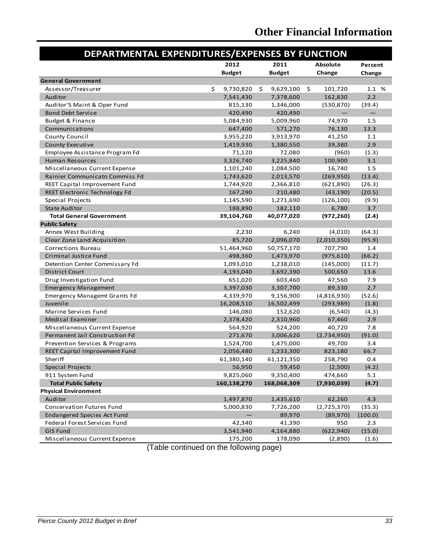| DEPARTMENTAL EXPENDITURES/EXPENSES BY FUNCTION |    |               |    |               |                 |                   |         |
|------------------------------------------------|----|---------------|----|---------------|-----------------|-------------------|---------|
|                                                |    | 2012          |    | 2011          | <b>Absolute</b> |                   | Percent |
|                                                |    | <b>Budget</b> |    | <b>Budget</b> |                 | Change            | Change  |
| <b>General Government</b>                      |    |               |    |               |                 |                   |         |
| Assessor/Treasurer                             | \$ | 9,730,820     | \$ | 9,629,100     | \$              | 101,720           | 1.1 %   |
| Auditor                                        |    | 7,541,430     |    | 7,378,600     |                 | 162,830           | 2.2     |
| Auditor'S Maint & Oper Fund                    |    | 815,130       |    | 1,346,000     |                 | (530, 870)        | (39.4)  |
| <b>Bond Debt Service</b>                       |    | 420,490       |    | 420,490       |                 | $\qquad \qquad -$ |         |
| <b>Budget &amp; Finance</b>                    |    | 5,084,930     |    | 5,009,960     |                 | 74,970            | 1.5     |
| Communications                                 |    | 647,400       |    | 571,270       |                 | 76,130            | 13.3    |
| County Council                                 |    | 3,955,220     |    | 3,913,970     |                 | 41,250            | 1.1     |
| <b>County Executive</b>                        |    | 1,419,930     |    | 1,380,550     |                 | 39,380            | 2.9     |
| Employee Assistance Program Fd                 |    | 71,120        |    | 72,080        |                 | (960)             | (1.3)   |
| <b>Human Resources</b>                         |    | 3,326,740     |    | 3,225,840     |                 | 100,900           | 3.1     |
| Miscellaneous Current Expense                  |    | 1,101,240     |    | 1,084,500     |                 | 16,740            | 1.5     |
| Rainier Communicatn Commiss Fd                 |    | 1,743,620     |    | 2,013,570     |                 | (269, 950)        | (13.4)  |
| REET Capital Improvement Fund                  |    | 1,744,920     |    | 2,366,810     |                 | (621,890)         | (26.3)  |
| REET Electronic Technology Fd                  |    | 167,290       |    | 210,480       |                 | (43, 190)         | (20.5)  |
| Special Projects                               |    | 1,145,590     |    | 1,271,690     |                 | (126, 100)        | (9.9)   |
| <b>State Auditor</b>                           |    | 188,890       |    | 182,110       |                 | 6,780             | 3.7     |
| <b>Total General Government</b>                |    | 39,104,760    |    | 40,077,020    |                 | (972, 260)        | (2.4)   |
| <b>Public Safety</b>                           |    |               |    |               |                 |                   |         |
| Annex West Building                            |    | 2,230         |    | 6,240         |                 | (4,010)           | (64.3)  |
| Clear Zone Land Acquisition                    |    | 85,720        |    | 2,096,070     |                 | (2,010,350)       | (95.9)  |
| Corrections Bureau                             |    | 51,464,960    |    | 50,757,170    |                 | 707,790           | 1.4     |
| Criminal Justice Fund                          |    | 498,360       |    | 1,473,970     |                 | (975, 610)        | (66.2)  |
| Detention Center Commissary Fd                 |    | 1,093,010     |    | 1,238,010     |                 | (145,000)         | (11.7)  |
| District Court                                 |    | 4,193,040     |    | 3,692,390     |                 | 500,650           | 13.6    |
| Drug Investigation Fund                        |    | 651,020       |    | 603,460       |                 | 47,560            | 7.9     |
| <b>Emergency Management</b>                    |    | 3,397,030     |    | 3,307,700     |                 | 89,330            | 2.7     |
| <b>Emergency Managemt Grants Fd</b>            |    | 4,339,970     |    | 9,156,900     |                 | (4,816,930)       | (52.6)  |
| Juvenile                                       |    | 16,208,510    |    | 16,502,499    |                 | (293, 989)        | (1.8)   |
| Marine Services Fund                           |    | 146,080       |    | 152,620       |                 | (6, 540)          | (4.3)   |
| Medical Examiner                               |    | 2,378,420     |    | 2,310,960     |                 | 67,460            | 2.9     |
| Miscellaneous Current Expense                  |    | 564,920       |    | 524,200       |                 | 40,720            | 7.8     |
| Permanent Jail Construction Fd                 |    | 271,670       |    | 3,006,620     |                 | (2,734,950)       | (91.0)  |
| Prevention Services & Programs                 |    | 1,524,700     |    | 1,475,000     |                 | 49,700            | 3.4     |
| REET Capital Improvement Fund                  |    | 2,056,480     |    | 1,233,300     |                 | 823,180           | 66.7    |
| Sheriff                                        |    | 61,380,140    |    | 61,121,350    |                 | 258,790           | 0.4     |
| <b>Special Projects</b>                        |    | 56,950        |    | 59,450        |                 | (2,500)           | (4.2)   |
| 911 System Fund                                |    | 9,825,060     |    | 9,350,400     |                 | 474,660           | 5.1     |
| <b>Total Public Safety</b>                     |    | 160,138,270   |    | 168,068,309   |                 | (7,930,039)       | (4.7)   |
| <b>Physical Environment</b>                    |    |               |    |               |                 |                   |         |
| Auditor                                        |    | 1,497,870     |    | 1,435,610     |                 | 62,260            | 4.3     |
| Conservation Futures Fund                      |    | 5,000,830     |    | 7,726,200     |                 | (2,725,370)       | (35.3)  |
| Endangered Species Act Fund                    |    |               |    | 89,970        |                 | (89, 970)         | (100.0) |
| Federal Forest Services Fund                   |    | 42,340        |    | 41,390        |                 | 950               | 2.3     |
| <b>GIS Fund</b>                                |    | 3,541,940     |    | 4,164,880     |                 | (622, 940)        | (15.0)  |
| Miscellaneous Current Expense                  |    | 175,200       |    | 178,090       |                 | (2,890)           | (1.6)   |

(Table continued on the following page)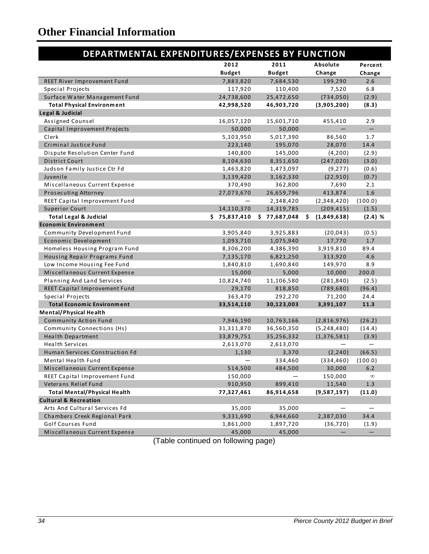| DEPARTMENTAL EXPENDITURES/EXPENSES BY FUNCTION |               |                  |                   |                   |
|------------------------------------------------|---------------|------------------|-------------------|-------------------|
|                                                | 2012          | 2011             | Absolute          | Percent           |
|                                                | <b>Budget</b> | <b>Budget</b>    | Change            | Change            |
| REET River Improvement Fund                    | 7,883,820     | 7,684,530        | 199,290           | 2.6               |
| Special Projects                               | 117,920       | 110,400          | 7,520             | 6.8               |
| Surface Water Management Fund                  | 24,738,600    | 25,472,650       | (734, 050)        | (2.9)             |
| <b>Total Physical Environment</b>              | 42,998,520    | 46,903,720       | (3,905,200)       | (8.3)             |
| Legal & Judicial                               |               |                  |                   |                   |
| Assigned Counsel                               | 16,057,120    | 15,601,710       | 455,410           | 2.9               |
| Capital Improvement Projects                   | 50,000        | 50,000           |                   | $\qquad \qquad -$ |
| Clerk                                          | 5,103,950     | 5,017,390        | 86,560            | 1.7               |
| Criminal Justice Fund                          | 223,140       | 195,070          | 28,070            | 14.4              |
| Dispute Resolution Center Fund                 | 140,800       | 145,000          | (4,200)           | (2.9)             |
| District Court                                 | 8,104,630     | 8,351,650        | (247, 020)        | (3.0)             |
| Judson Family Justice Ctr Fd                   | 1,463,820     | 1,473,097        | (9, 277)          | (0.6)             |
| Juvenile                                       | 3,139,420     | 3,162,330        | (22, 910)         | (0.7)             |
| Miscellaneous Current Expense                  | 370,490       | 362,800          | 7,690             | 2.1               |
| Prosecuting Attorney                           | 27,073,670    | 26,659,796       | 413,874           | $1.6\,$           |
| REET Capital Improvement Fund                  |               | 2,348,420        | (2,348,420)       | (100.0)           |
| <b>Superior Court</b>                          | 14,110,370    | 14,319,785       | (209, 415)        | (1.5)             |
| <b>Total Legal &amp; Judicial</b>              | \$75,837,410  | \$<br>77,687,048 | \$<br>(1,849,638) | $(2.4)$ %         |
| <b>Economic Environment</b>                    |               |                  |                   |                   |
| <b>Community Development Fund</b>              | 3,905,840     | 3,925,883        | (20, 043)         | (0.5)             |
| Economic Development                           | 1,093,710     | 1,075,940        | 17,770            | 1.7               |
| Homeless Housing Program Fund                  | 8,306,200     | 4,386,390        | 3,919,810         | 89.4              |
| Housing Repair Programs Fund                   | 7,135,170     | 6,821,250        | 313,920           | 4.6               |
| Low Income Housing Fee Fund                    | 1,840,810     | 1,690,840        | 149,970           | 8.9               |
| Miscellaneous Current Expense                  | 15,000        | 5,000            | 10,000            | 200.0             |
| Planning And Land Services                     | 10,824,740    | 11,106,580       | (281, 840)        | (2.5)             |
| REET Capital Improvement Fund                  | 29,170        | 818,850          | (789, 680)        | (96.4)            |
| Special Projects                               | 363,470       | 292,270          | 71,200            | 24.4              |
| <b>Total Economic Environment</b>              | 33,514,110    | 30,123,003       | 3,391,107         | 11.3              |
| <b>Mental/Physical Health</b>                  |               |                  |                   |                   |
| <b>Community Action Fund</b>                   | 7,946,190     | 10,763,166       | (2,816,976)       | (26.2)            |
| Community Connections (Hs)                     | 31, 311, 870  | 36,560,350       | (5,248,480)       | (14.4)            |
| <b>Health Department</b>                       | 33,879,751    | 35,256,332       | (1,376,581)       | (3.9)             |
| <b>Health Services</b>                         | 2,613,070     | 2,613,070        |                   |                   |
| Human Services Construction Fd                 | 1,130         | 3,370            | (2, 240)          | (66.5)            |
| Mental Health Fund                             |               | 334,460          | (334, 460)        | (100.0)           |
| Miscellaneous Current Expense                  | 514,500       | 484,500          | 30,000            | 6.2               |
| REET Capital Improvement Fund                  | 150,000       |                  | 150,000           | $\infty$          |
| Veterans Relief Fund                           | 910,950       | 899,410          | 11,540            | 1.3               |
| <b>Total Mental/Physical Health</b>            | 77,327,461    | 86,914,658       | (9,587,197)       | (11.0)            |
| <b>Cultural &amp; Recreation</b>               |               |                  |                   |                   |
| Arts And Cultural Services Fd                  | 35,000        | 35,000           |                   |                   |
| Chambers Creek Regional Park                   | 9,331,690     | 6,944,660        | 2,387,030         | 34.4              |
| Golf Courses Fund                              | 1,861,000     | 1,897,720        | (36, 720)         | (1.9)             |
| Miscellaneous Current Expense                  | 45,000        | 45,000           |                   |                   |

(Table continued on following page)(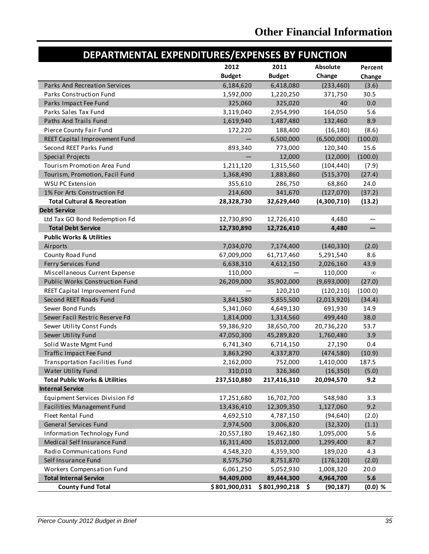| DEPARTMENTAL EXPENDITURES/EXPENSES BY FUNCTION |               |               |                 |           |  |  |  |  |  |  |
|------------------------------------------------|---------------|---------------|-----------------|-----------|--|--|--|--|--|--|
|                                                | 2012          | 2011          | <b>Absolute</b> | Percent   |  |  |  |  |  |  |
|                                                | <b>Budget</b> | <b>Budget</b> | Change          | Change    |  |  |  |  |  |  |
| Parks And Recreation Services                  | 6,184,620     | 6,418,080     | (233, 460)      | (3.6)     |  |  |  |  |  |  |
| <b>Parks Construction Fund</b>                 | 1,592,000     | 1,220,250     | 371,750         | 30.5      |  |  |  |  |  |  |
| Parks Impact Fee Fund                          | 325,060       | 325,020       | 40              | 0.0       |  |  |  |  |  |  |
| Parks Sales Tax Fund                           | 3,119,040     | 2,954,990     | 164,050         | 5.6       |  |  |  |  |  |  |
| Paths And Trails Fund                          | 1,619,940     | 1,487,480     | 132,460         | 8.9       |  |  |  |  |  |  |
| Pierce County Fair Fund                        | 172,220       | 188,400       | (16, 180)       | (8.6)     |  |  |  |  |  |  |
| REET Capital Improvement Fund                  |               | 6,500,000     | (6,500,000)     | (100.0)   |  |  |  |  |  |  |
| Second REET Parks Fund                         | 893,340       | 773,000       | 120,340         | 15.6      |  |  |  |  |  |  |
| Special Projects                               |               | 12,000        | (12,000)        | (100.0)   |  |  |  |  |  |  |
| Tourism Promotion Area Fund                    | 1,211,120     | 1,315,560     | (104, 440)      | (7.9)     |  |  |  |  |  |  |
| Tourism, Promotion, Facil Fund                 | 1,368,490     | 1,883,860     | (515, 370)      | (27.4)    |  |  |  |  |  |  |
| WSU PC Extension                               | 355,610       | 286,750       | 68,860          | 24.0      |  |  |  |  |  |  |
| 1% For Arts Construction Fd                    | 214,600       | 341,670       | (127,070)       | (37.2)    |  |  |  |  |  |  |
| <b>Total Cultural &amp; Recreation</b>         | 28,328,730    | 32,629,440    | (4,300,710)     | (13.2)    |  |  |  |  |  |  |
| <b>Debt Service</b>                            |               |               |                 |           |  |  |  |  |  |  |
| Ltd Tax GO Bond Redemption Fd                  | 12,730,890    | 12,726,410    | 4,480           |           |  |  |  |  |  |  |
| <b>Total Debt Service</b>                      | 12,730,890    | 12,726,410    | 4,480           |           |  |  |  |  |  |  |
| <b>Public Works &amp; Utilities</b>            |               |               |                 |           |  |  |  |  |  |  |
| Airports                                       | 7,034,070     | 7,174,400     | (140, 330)      | (2.0)     |  |  |  |  |  |  |
| County Road Fund                               | 67,009,000    | 61,717,460    | 5,291,540       | 8.6       |  |  |  |  |  |  |
| Ferry Services Fund                            | 6,638,310     | 4,612,150     | 2,026,160       | 43.9      |  |  |  |  |  |  |
| Miscellaneous Current Expense                  | 110,000       |               | 110,000         | $\infty$  |  |  |  |  |  |  |
| <b>Public Works Construction Fund</b>          | 26,209,000    | 35,902,000    | (9,693,000)     | (27.0)    |  |  |  |  |  |  |
| REET Capital Improvement Fund                  |               | 120,210       | (120, 210)      | (100.0)   |  |  |  |  |  |  |
| Second REET Roads Fund                         | 3,841,580     | 5,855,500     | (2,013,920)     | (34.4)    |  |  |  |  |  |  |
| Sewer Bond Funds                               | 5,341,060     | 4,649,130     | 691,930         | 14.9      |  |  |  |  |  |  |
| Sewer Facil Restric Reserve Fd                 | 1,814,000     | 1,314,560     | 499,440         | 38.0      |  |  |  |  |  |  |
| Sewer Utility Const Funds                      | 59,386,920    | 38,650,700    | 20,736,220      | 53.7      |  |  |  |  |  |  |
| Sewer Utility Fund                             | 47,050,300    | 45,289,820    | 1,760,480       | 3.9       |  |  |  |  |  |  |
| Solid Waste Mgmt Fund                          | 6,741,340     | 6,714,150     | 27,190          | 0.4       |  |  |  |  |  |  |
| Traffic Impact Fee Fund                        | 3,863,290     | 4,337,870     | (474, 580)      | (10.9)    |  |  |  |  |  |  |
| <b>Transportation Facilities Fund</b>          | 2,162,000     | 752,000       | 1,410,000       | 187.5     |  |  |  |  |  |  |
| Water Utility Fund                             | 310,010       | 326,360       | (16, 350)       | (5.0)     |  |  |  |  |  |  |
| <b>Total Public Works &amp; Utilities</b>      | 237,510,880   | 217,416,310   | 20,094,570      | 9.2       |  |  |  |  |  |  |
| <b>Internal Service</b>                        |               |               |                 |           |  |  |  |  |  |  |
| Equipment Services Division Fd                 | 17,251,680    | 16,702,700    | 548,980         | 3.3       |  |  |  |  |  |  |
| <b>Facilities Management Fund</b>              | 13,436,410    | 12,309,350    | 1,127,060       | 9.2       |  |  |  |  |  |  |
| Fleet Rental Fund                              | 4,692,510     | 4,787,150     | (94, 640)       | (2.0)     |  |  |  |  |  |  |
| General Services Fund                          | 2,974,500     | 3,006,820     | (32, 320)       | (1.1)     |  |  |  |  |  |  |
| Information Technology Fund                    | 20,557,180    | 19,462,180    | 1,095,000       | 5.6       |  |  |  |  |  |  |
| Medical Self Insurance Fund                    | 16,311,400    | 15,012,000    | 1,299,400       | 8.7       |  |  |  |  |  |  |
| Radio Communications Fund                      | 4,548,320     | 4,359,300     | 189,020         | 4.3       |  |  |  |  |  |  |
| Self Insurance Fund                            | 8,575,750     | 8,751,870     | (176, 120)      | (2.0)     |  |  |  |  |  |  |
| Workers Compensation Fund                      | 6,061,250     | 5,052,930     | 1,008,320       | 20.0      |  |  |  |  |  |  |
| <b>Total Internal Service</b>                  | 94,409,000    | 89,444,300    | 4,964,700       | 5.6       |  |  |  |  |  |  |
| <b>County Fund Total</b>                       | \$801,900,031 | \$801,990,218 | \$<br>(90, 187) | $(0.0)$ % |  |  |  |  |  |  |